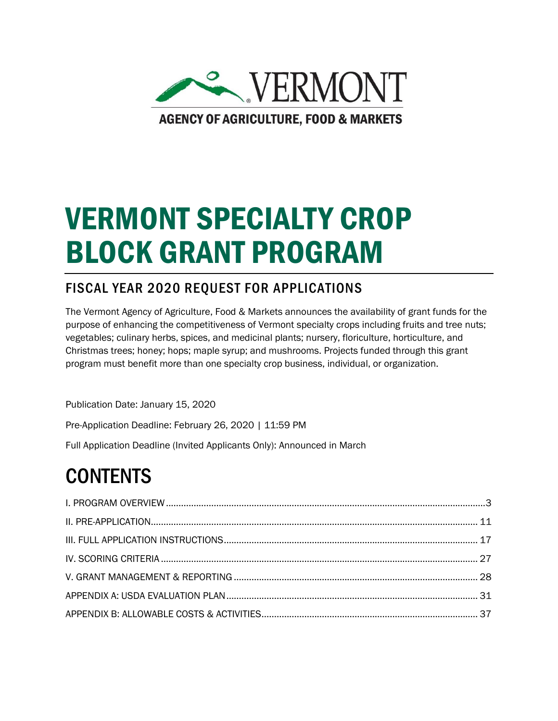

# VERMONT SPECIALTY CROP BLOCK GRANT PROGRAM

# FISCAL YEAR 2020 REQUEST FOR APPLICATIONS

The Vermont Agency of Agriculture, Food & Markets announces the availability of grant funds for the purpose of enhancing the competitiveness of Vermont specialty crops including fruits and tree nuts; vegetables; culinary herbs, spices, and medicinal plants; nursery, floriculture, horticulture, and Christmas trees; honey; hops; maple syrup; and mushrooms. Projects funded through this grant program must benefit more than one specialty crop business, individual, or organization.

Publication Date: January 15, 2020

Pre-Application Deadline: February 26, 2020 | 11:59 PM

Full Application Deadline (Invited Applicants Only): Announced in March

# **CONTENTS**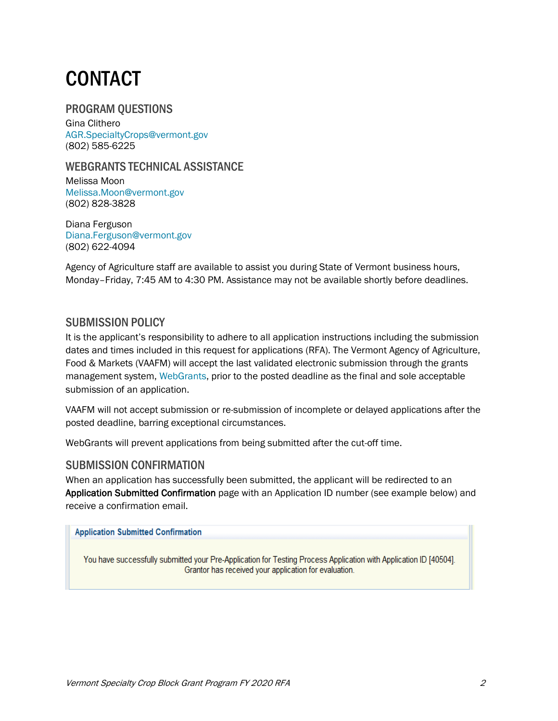# CONTACT

### PROGRAM QUESTIONS

Gina Clithero [AGR.SpecialtyCrops@vermont.gov](mailto:kristina.sweet@vermont.gov) (802) 585-6225

### WEBGRANTS TECHNICAL ASSISTANCE

Melissa Moon [Melissa.Moon@vermont.gov](mailto:Melissa.Moon@vermont.gov) (802) 828-3828

Diana Ferguson [Diana.Ferguson@vermont.gov](mailto:Victoria.Managan@vermont.gov) (802) 622-4094

Agency of Agriculture staff are available to assist you during State of Vermont business hours, Monday–Friday, 7:45 AM to 4:30 PM. Assistance may not be available shortly before deadlines.

### SUBMISSION POLICY

It is the applicant's responsibility to adhere to all application instructions including the submission dates and times included in this request for applications (RFA). The Vermont Agency of Agriculture, Food & Markets (VAAFM) will accept the last validated electronic submission through the grants management system, [WebGrants,](https://agriculturegrants.vermont.gov/index.do) prior to the posted deadline as the final and sole acceptable submission of an application.

VAAFM will not accept submission or re-submission of incomplete or delayed applications after the posted deadline, barring exceptional circumstances.

WebGrants will prevent applications from being submitted after the cut-off time.

### SUBMISSION CONFIRMATION

When an application has successfully been submitted, the applicant will be redirected to an Application Submitted Confirmation page with an Application ID number (see example below) and receive a confirmation email.

#### **Application Submitted Confirmation**

You have successfully submitted your Pre-Application for Testing Process Application with Application ID [40504]. Grantor has received your application for evaluation.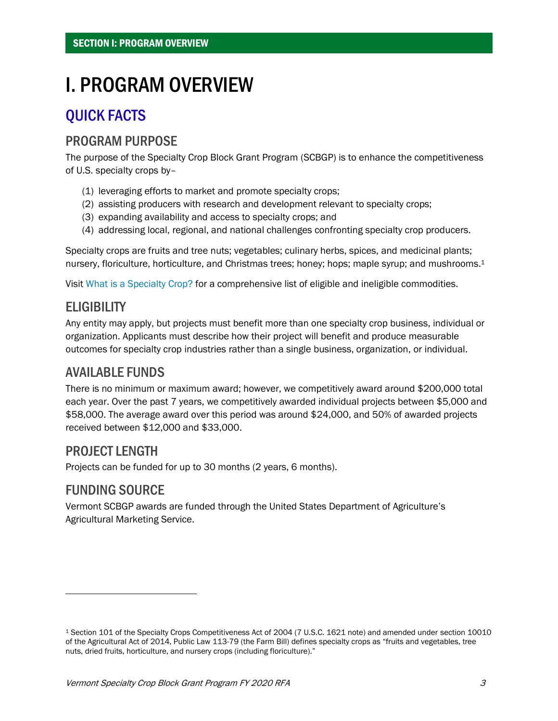# <span id="page-2-0"></span>I. PROGRAM OVERVIEW

# QUICK FACTS

### PROGRAM PURPOSE

The purpose of the Specialty Crop Block Grant Program (SCBGP) is to enhance the competitiveness of U.S. specialty crops by–

- (1) leveraging efforts to market and promote specialty crops;
- (2) assisting producers with research and development relevant to specialty crops;
- (3) expanding availability and access to specialty crops; and
- (4) addressing local, regional, and national challenges confronting specialty crop producers.

Specialty crops are fruits and tree nuts; vegetables; culinary herbs, spices, and medicinal plants; nursery, floriculture, horticulture, and Christmas trees; honey; hops; maple syrup; and mushrooms.<sup>1</sup>

Visit [What is a Specialty Crop?](https://www.ams.usda.gov/services/grants/scbgp/specialty-crop) for a comprehensive list of eligible and ineligible commodities.

## **ELIGIBILITY**

Any entity may apply, but projects must benefit more than one specialty crop business, individual or organization. Applicants must describe how their project will benefit and produce measurable outcomes for specialty crop industries rather than a single business, organization, or individual.

### AVAILABLE FUNDS

There is no minimum or maximum award; however, we competitively award around \$200,000 total each year. Over the past 7 years, we competitively awarded individual projects between \$5,000 and \$58,000. The average award over this period was around \$24,000, and 50% of awarded projects received between \$12,000 and \$33,000.

### PROJECT LENGTH

Projects can be funded for up to 30 months (2 years, 6 months).

### FUNDING SOURCE

Vermont SCBGP awards are funded through the United States Department of Agriculture's Agricultural Marketing Service.

<sup>1</sup> Section 101 of the Specialty Crops Competitiveness Act of 2004 (7 U.S.C. 1621 note) and amended under [section 10010](http://uscode.house.gov/view.xhtml?req=specialty+crop+block+grants&f=treesort&fq=true&num=0&hl=true&edition=prelim&granuleId=USC-prelim-title7-section1621)  [of the Agricultural Act of 2014, Public Law 113-79](http://uscode.house.gov/view.xhtml?req=specialty+crop+block+grants&f=treesort&fq=true&num=0&hl=true&edition=prelim&granuleId=USC-prelim-title7-section1621) (the Farm Bill) defines specialty crops as "fruits and vegetables, tree nuts, dried fruits, horticulture, and nursery crops (including floriculture)."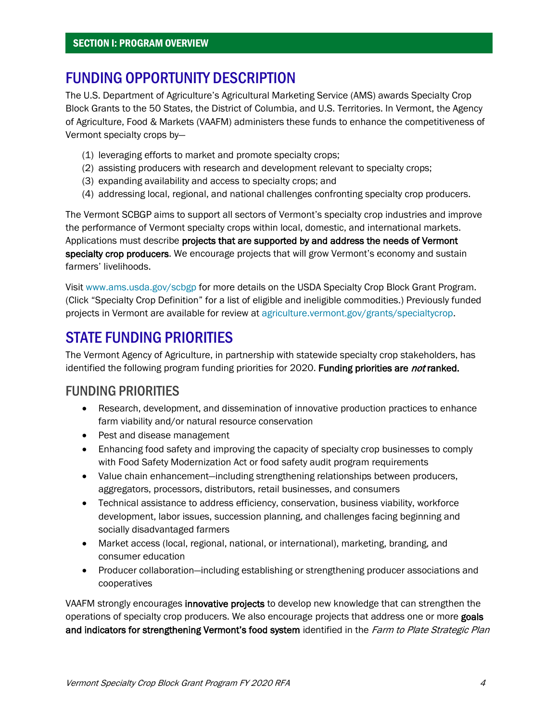# FUNDING OPPORTUNITY DESCRIPTION

The U.S. Department of Agriculture's Agricultural Marketing Service (AMS) awards Specialty Crop Block Grants to the 50 States, the District of Columbia, and U.S. Territories. In Vermont, the Agency of Agriculture, Food & Markets (VAAFM) administers these funds to enhance the competitiveness of Vermont specialty crops by—

- (1) leveraging efforts to market and promote specialty crops;
- (2) assisting producers with research and development relevant to specialty crops;
- (3) expanding availability and access to specialty crops; and
- (4) addressing local, regional, and national challenges confronting specialty crop producers.

The Vermont SCBGP aims to support all sectors of Vermont's specialty crop industries and improve the performance of Vermont specialty crops within local, domestic, and international markets. Applications must describe projects that are supported by and address the needs of Vermont specialty crop producers. We encourage projects that will grow Vermont's economy and sustain farmers' livelihoods.

Visit [www.ams.usda.gov/scbgp](http://www.ams.usda.gov/scbgp) for more details on the USDA Specialty Crop Block Grant Program. (Click "Specialty Crop Definition" for a list of eligible and ineligible commodities.) Previously funded projects in Vermont are available for review at [agriculture.vermont.gov/grants/specialtycrop.](https://agriculture.vermont.gov/grants/specialtycrop)

# STATE FUNDING PRIORITIES

The Vermont Agency of Agriculture, in partnership with statewide specialty crop stakeholders, has identified the following program funding priorities for 2020. Funding priorities are not ranked.

### FUNDING PRIORITIES

- Research, development, and dissemination of innovative production practices to enhance farm viability and/or natural resource conservation
- Pest and disease management
- Enhancing food safety and improving the capacity of specialty crop businesses to comply with Food Safety Modernization Act or food safety audit program requirements
- Value chain enhancement—including strengthening relationships between producers, aggregators, processors, distributors, retail businesses, and consumers
- Technical assistance to address efficiency, conservation, business viability, workforce development, labor issues, succession planning, and challenges facing beginning and socially disadvantaged farmers
- Market access (local, regional, national, or international), marketing, branding, and consumer education
- Producer collaboration—including establishing or strengthening producer associations and cooperatives

VAAFM strongly encourages innovative projects to develop new knowledge that can strengthen the operations of specialty crop producers. We also encourage projects that address one or more goals and indicators for strengthening Vermont's food system identified in the Farm to Plate Strategic Plan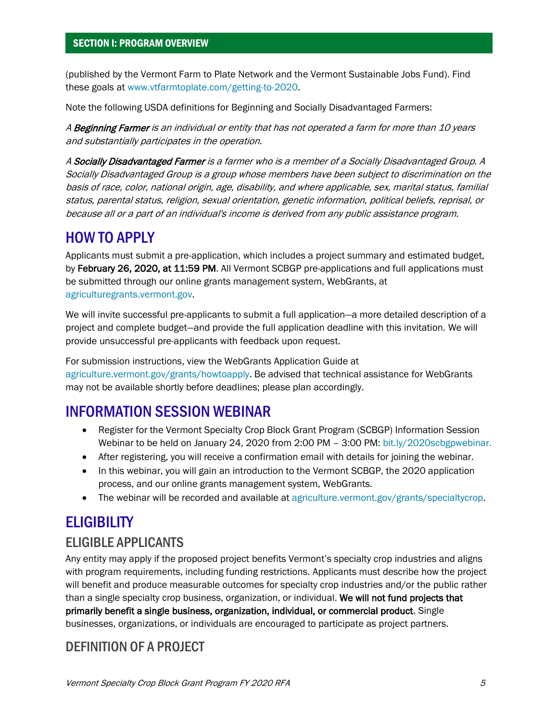(published by the Vermont Farm to Plate Network and the Vermont Sustainable Jobs Fund). Find these goals at [www.vtfarmtoplate.com/getting-to-2020.](http://www.vtfarmtoplate.com/getting-to-2020)

Note the following USDA definitions for Beginning and Socially Disadvantaged Farmers:

A **Beginning Farmer** is an individual or entity that has not operated a farm for more than 10 years and substantially participates in the operation.

A Socially Disadvantaged Farmer is a farmer who is a member of a Socially Disadvantaged Group. A Socially Disadvantaged Group is a group whose members have been subject to discrimination on the basis of race, color, national origin, age, disability, and where applicable, sex, marital status, familial status, parental status, religion, sexual orientation, genetic information, political beliefs, reprisal, or because all or a part of an individual's income is derived from any public assistance program.

## HOW TO APPLY

Applicants must submit a pre-application, which includes a project summary and estimated budget, by February 26, 2020, at 11:59 PM. All Vermont SCBGP pre-applications and full applications must be submitted through our online grants management system, WebGrants, at [agriculturegrants.vermont.gov.](file:///C:/Users/kathryn.donovan/Desktop/agriculturegrants.vermont.gov)

We will invite successful pre-applicants to submit a full application—a more detailed description of a project and complete budget—and provide the full application deadline with this invitation. We will provide unsuccessful pre-applicants with feedback upon request.

For submission instructions, view the WebGrants Application Guide at [agriculture.vermont.gov/grants/howtoapply.](https://agriculture.vermont.gov/grants/howtoapply) Be advised that technical assistance for WebGrants may not be available shortly before deadlines; please plan accordingly.

# INFORMATION SESSION WEBINAR

- Register for the Vermont Specialty Crop Block Grant Program (SCBGP) Information Session Webinar to be held on January 24, 2020 from 2:00 PM - 3:00 PM: [bit.ly/2020scbgpwebinar.](http://bit.ly/2020scbgpwebinar)
- After registering, you will receive a confirmation email with details for joining the webinar.
- In this webinar, you will gain an introduction to the Vermont SCBGP, the 2020 application process, and our online grants management system, WebGrants.
- The webinar will be recorded and available at [agriculture.vermont.gov/grants/specialtycrop.](https://agriculture.vermont.gov/grants/specialtycrop)

# **ELIGIBILITY**

### ELIGIBLE APPLICANTS

Any entity may apply if the proposed project benefits Vermont's specialty crop industries and aligns with program requirements, including funding restrictions. Applicants must describe how the project will benefit and produce measurable outcomes for specialty crop industries and/or the public rather than a single specialty crop business, organization, or individual. We will not fund projects that primarily benefit a single business, organization, individual, or commercial product. Single businesses, organizations, or individuals are encouraged to participate as project partners.

### DEFINITION OF A PROJECT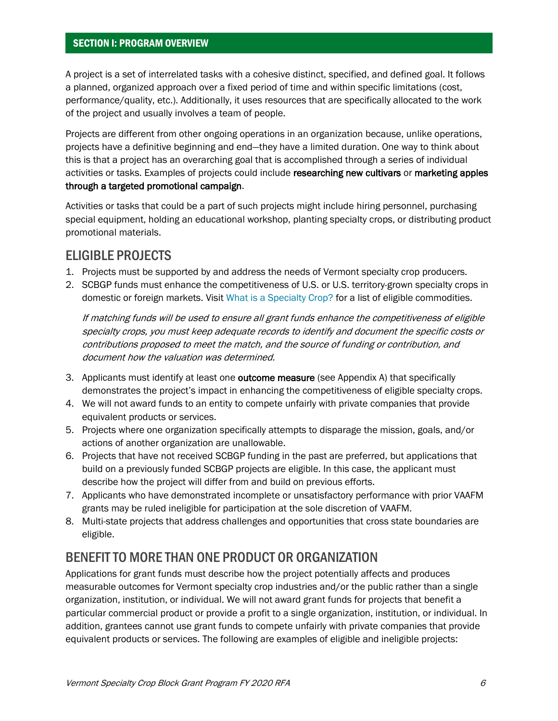#### SECTION I: PROGRAM OVERVIEW

A project is a set of interrelated tasks with a cohesive distinct, specified, and defined goal. It follows a planned, organized approach over a fixed period of time and within specific limitations (cost, performance/quality, etc.). Additionally, it uses resources that are specifically allocated to the work of the project and usually involves a team of people.

Projects are different from other ongoing operations in an organization because, unlike operations, projects have a definitive beginning and end—they have a limited duration. One way to think about this is that a project has an overarching goal that is accomplished through a series of individual activities or tasks. Examples of projects could include researching new cultivars or marketing apples through a targeted promotional campaign.

Activities or tasks that could be a part of such projects might include hiring personnel, purchasing special equipment, holding an educational workshop, planting specialty crops, or distributing product promotional materials.

### ELIGIBLE PROJECTS

- 1. Projects must be supported by and address the needs of Vermont specialty crop producers.
- 2. SCBGP funds must enhance the competitiveness of U.S. or U.S. territory-grown specialty crops in domestic or foreign markets. Visit [What is a Specialty Crop?](https://www.ams.usda.gov/services/grants/scbgp/specialty-crop) for a list of eligible commodities.

If matching funds will be used to ensure all grant funds enhance the competitiveness of eligible specialty crops, you must keep adequate records to identify and document the specific costs or contributions proposed to meet the match, and the source of funding or contribution, and document how the valuation was determined.

- 3. Applicants must identify at least one **outcome measure** (see Appendix A) that specifically demonstrates the project's impact in enhancing the competitiveness of eligible specialty crops.
- 4. We will not award funds to an entity to compete unfairly with private companies that provide equivalent products or services.
- 5. Projects where one organization specifically attempts to disparage the mission, goals, and/or actions of another organization are unallowable.
- 6. Projects that have not received SCBGP funding in the past are preferred, but applications that build on a previously funded SCBGP projects are eligible. In this case, the applicant must describe how the project will differ from and build on previous efforts.
- 7. Applicants who have demonstrated incomplete or unsatisfactory performance with prior VAAFM grants may be ruled ineligible for participation at the sole discretion of VAAFM.
- 8. Multi-state projects that address challenges and opportunities that cross state boundaries are eligible.

### BENEFIT TO MORE THAN ONE PRODUCT OR ORGANIZATION

Applications for grant funds must describe how the project potentially affects and produces measurable outcomes for Vermont specialty crop industries and/or the public rather than a single organization, institution, or individual. We will not award grant funds for projects that benefit a particular commercial product or provide a profit to a single organization, institution, or individual. In addition, grantees cannot use grant funds to compete unfairly with private companies that provide equivalent products or services. The following are examples of eligible and ineligible projects: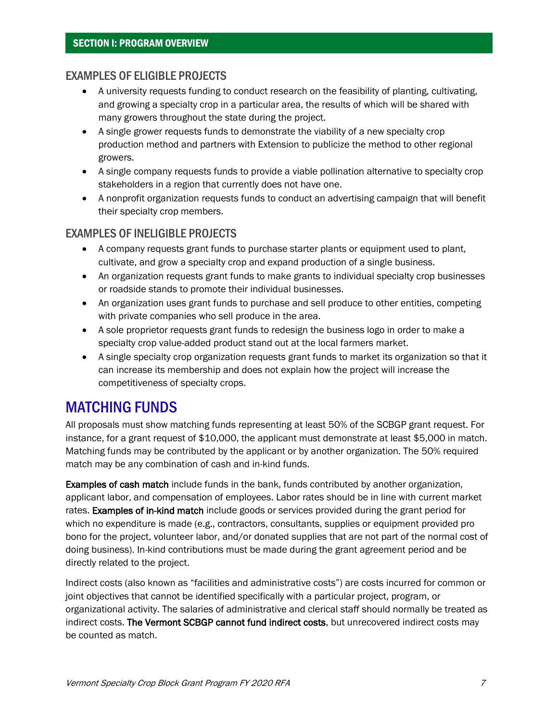### EXAMPLES OF ELIGIBLE PROJECTS

- A university requests funding to conduct research on the feasibility of planting, cultivating, and growing a specialty crop in a particular area, the results of which will be shared with many growers throughout the state during the project.
- A single grower requests funds to demonstrate the viability of a new specialty crop production method and partners with Extension to publicize the method to other regional growers.
- A single company requests funds to provide a viable pollination alternative to specialty crop stakeholders in a region that currently does not have one.
- A nonprofit organization requests funds to conduct an advertising campaign that will benefit their specialty crop members.

### EXAMPLES OF INELIGIBLE PROJECTS

- A company requests grant funds to purchase starter plants or equipment used to plant, cultivate, and grow a specialty crop and expand production of a single business.
- An organization requests grant funds to make grants to individual specialty crop businesses or roadside stands to promote their individual businesses.
- An organization uses grant funds to purchase and sell produce to other entities, competing with private companies who sell produce in the area.
- A sole proprietor requests grant funds to redesign the business logo in order to make a specialty crop value-added product stand out at the local farmers market.
- A single specialty crop organization requests grant funds to market its organization so that it can increase its membership and does not explain how the project will increase the competitiveness of specialty crops.

# MATCHING FUNDS

All proposals must show matching funds representing at least 50% of the SCBGP grant request. For instance, for a grant request of \$10,000, the applicant must demonstrate at least \$5,000 in match. Matching funds may be contributed by the applicant or by another organization. The 50% required match may be any combination of cash and in-kind funds.

Examples of cash match include funds in the bank, funds contributed by another organization, applicant labor, and compensation of employees. Labor rates should be in line with current market rates. Examples of in-kind match include goods or services provided during the grant period for which no expenditure is made (e.g., contractors, consultants, supplies or equipment provided pro bono for the project, volunteer labor, and/or donated supplies that are not part of the normal cost of doing business). In-kind contributions must be made during the grant agreement period and be directly related to the project.

Indirect costs (also known as "facilities and administrative costs") are costs incurred for common or joint objectives that cannot be identified specifically with a particular project, program, or organizational activity. The salaries of administrative and clerical staff should normally be treated as indirect costs. The Vermont SCBGP cannot fund indirect costs, but unrecovered indirect costs may be counted as match.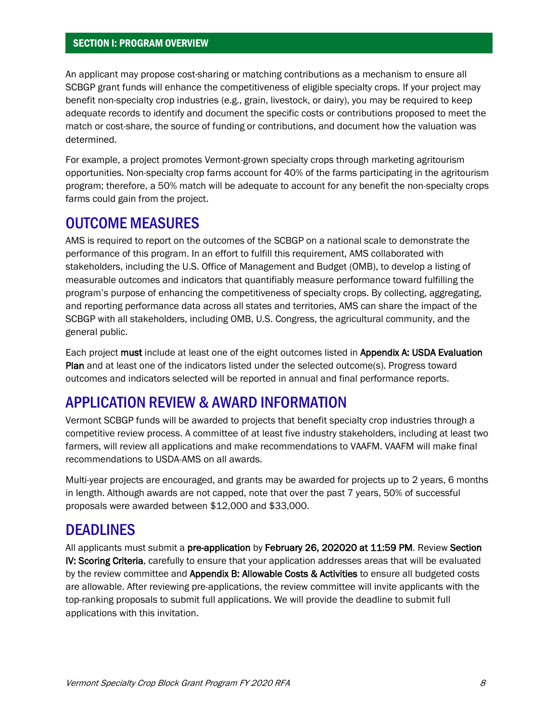#### SECTION I: PROGRAM OVERVIEW

An applicant may propose cost-sharing or matching contributions as a mechanism to ensure all SCBGP grant funds will enhance the competitiveness of eligible specialty crops. If your project may benefit non-specialty crop industries (e.g., grain, livestock, or dairy), you may be required to keep adequate records to identify and document the specific costs or contributions proposed to meet the match or cost-share, the source of funding or contributions, and document how the valuation was determined.

For example, a project promotes Vermont-grown specialty crops through marketing agritourism opportunities. Non-specialty crop farms account for 40% of the farms participating in the agritourism program; therefore, a 50% match will be adequate to account for any benefit the non-specialty crops farms could gain from the project.

# OUTCOME MEASURES

AMS is required to report on the outcomes of the SCBGP on a national scale to demonstrate the performance of this program. In an effort to fulfill this requirement, AMS collaborated with stakeholders, including the U.S. Office of Management and Budget (OMB), to develop a listing of measurable outcomes and indicators that quantifiably measure performance toward fulfilling the program's purpose of enhancing the competitiveness of specialty crops. By collecting, aggregating, and reporting performance data across all states and territories, AMS can share the impact of the SCBGP with all stakeholders, including OMB, U.S. Congress, the agricultural community, and the general public.

Each project must include at least one of the eight outcomes listed in Appendix A: USDA Evaluation Plan and at least one of the indicators listed under the selected outcome(s). Progress toward outcomes and indicators selected will be reported in annual and final performance reports.

## APPLICATION REVIEW & AWARD INFORMATION

Vermont SCBGP funds will be awarded to projects that benefit specialty crop industries through a competitive review process. A committee of at least five industry stakeholders, including at least two farmers, will review all applications and make recommendations to VAAFM. VAAFM will make final recommendations to USDA-AMS on all awards.

Multi-year projects are encouraged, and grants may be awarded for projects up to 2 years, 6 months in length. Although awards are not capped, note that over the past 7 years, 50% of successful proposals were awarded between \$12,000 and \$33,000.

## DEADLINES

All applicants must submit a pre-application by February 26, 202020 at 11:59 PM. Review Section IV: Scoring Criteria, carefully to ensure that your application addresses areas that will be evaluated by the review committee and Appendix B: Allowable Costs & Activities to ensure all budgeted costs are allowable. After reviewing pre-applications, the review committee will invite applicants with the top-ranking proposals to submit full applications. We will provide the deadline to submit full applications with this invitation.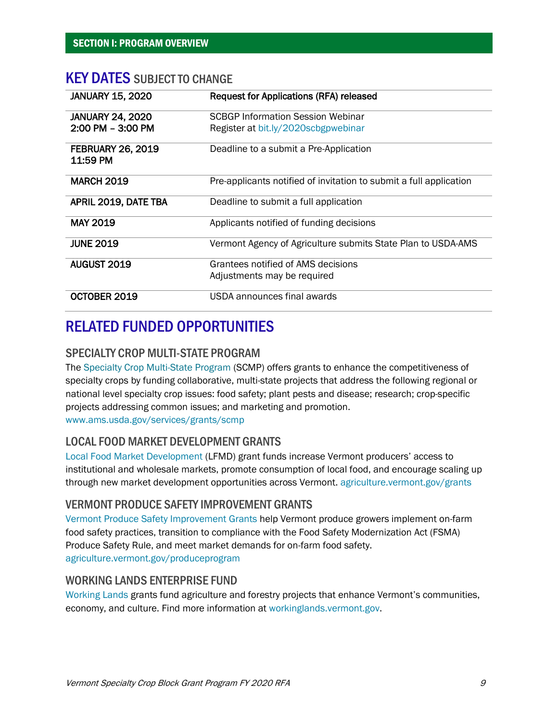## KEY DATES SUBJECT TO CHANGE

| <b>JANUARY 15, 2020</b>              | <b>Request for Applications (RFA) released</b>                     |
|--------------------------------------|--------------------------------------------------------------------|
| <b>JANUARY 24, 2020</b>              | <b>SCBGP Information Session Webinar</b>                           |
| 2:00 PM - 3:00 PM                    | Register at bit.ly/2020scbgpwebinar                                |
| <b>FEBRUARY 26, 2019</b><br>11:59 PM | Deadline to a submit a Pre-Application                             |
| <b>MARCH 2019</b>                    | Pre-applicants notified of invitation to submit a full application |
| APRIL 2019, DATE TBA                 | Deadline to submit a full application                              |
| <b>MAY 2019</b>                      | Applicants notified of funding decisions                           |
| <b>JUNE 2019</b>                     | Vermont Agency of Agriculture submits State Plan to USDA-AMS       |
| <b>AUGUST 2019</b>                   | Grantees notified of AMS decisions                                 |
|                                      | Adjustments may be required                                        |
| OCTOBER 2019                         | USDA announces final awards                                        |

# RELATED FUNDED OPPORTUNITIES

### SPECIALTY CROP MULTI-STATE PROGRAM

The [Specialty Crop Multi-State Program](http://www.ams.usda.gov/services/grants/scmp) (SCMP) offers grants to enhance the competitiveness of specialty crops by funding collaborative, multi-state projects that address the following regional or national level specialty crop issues: food safety; plant pests and disease; research; crop-specific projects addressing common issues; and marketing and promotion. [www.ams.usda.gov/services/grants/scmp](http://www.ams.usda.gov/services/grants/scmp) 

### LOCAL FOOD MARKET DEVELOPMENT GRANTS

[Local Food Market Development](https://agriculture.vermont.gov/localfoodmarketdevelopment) (LFMD) grant funds increase Vermont producers' access to institutional and wholesale markets, promote consumption of local food, and encourage scaling up through new market development opportunities across Vermont. [agriculture.vermont.gov/grants](https://agriculture.vermont.gov/grants)

### [VERMONT PRODUCE SAFETY IMPROVEMENT GRANTS](http://agriculture.vermont.gov/ProduceSafetyGrants)

[Vermont Produce Safety Improvement Grants](http://agriculture.vermont.gov/ProduceSafetyGrants) help Vermont produce growers implement on-farm food safety practices, transition to compliance with the Food Safety Modernization Act (FSMA) Produce Safety Rule, and meet market demands for on-farm food safety. [agriculture.vermont.gov/produceprogram](https://agriculture.vermont.gov/produceprogram)

### WORKING LANDS ENTERPRISE FUND

[Working Lands](https://workinglands.vermont.gov/) grants fund agriculture and forestry projects that enhance Vermont's communities, economy, and culture. Find more information at [workinglands.vermont.gov.](https://workinglands.vermont.gov/)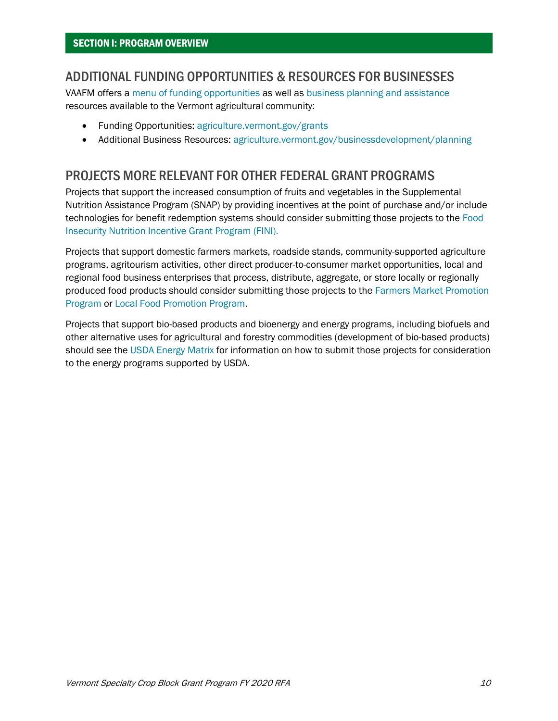## ADDITIONAL FUNDING OPPORTUNITIES & RESOURCES FOR BUSINESSES

VAAFM offers a [menu of funding opportunities](https://agriculture.vermont.gov/grants) as well as [business planning and assistance](https://agriculture.vermont.gov/businessdevelopment/business-planning-assistance) resources available to the Vermont agricultural community:

- Funding Opportunities: [agriculture.vermont.gov/grants](https://agriculture.vermont.gov/grants)
- Additional Business Resources: [agriculture.vermont.gov/businessdevelopment/planning](https://agriculture.vermont.gov/businessdevelopment/planning)

## PROJECTS MORE RELEVANT FOR OTHER FEDERAL GRANT PROGRAMS

Projects that support the increased consumption of fruits and vegetables in the Supplemental Nutrition Assistance Program (SNAP) by providing incentives at the point of purchase and/or include technologies for benefit redemption systems should consider submitting those projects to the [Food](https://nifa.usda.gov/funding-opportunity/food-insecurity-nutrition-incentive-fini-grant-program)  [Insecurity Nutrition Incentive Grant Program \(FINI\).](https://nifa.usda.gov/funding-opportunity/food-insecurity-nutrition-incentive-fini-grant-program)

Projects that support domestic farmers markets, roadside stands, community-supported agriculture programs, agritourism activities, other direct producer-to-consumer market opportunities, local and regional food business enterprises that process, distribute, aggregate, or store locally or regionally produced food products should consider submitting those projects to the [Farmers Market Promotion](https://www.ams.usda.gov/services/grants/fmpp)  [Program](https://www.ams.usda.gov/services/grants/fmpp) or [Local Food Promotion Program.](https://www.ams.usda.gov/services/grants/lfpp)

Projects that support bio-based products and bioenergy and energy programs, including biofuels and other alternative uses for agricultural and forestry commodities (development of bio-based products) should see the [USDA Energy Matrix](https://www.usda.gov/energy/matrix/home) for information on how to submit those projects for consideration to the energy programs supported by USDA.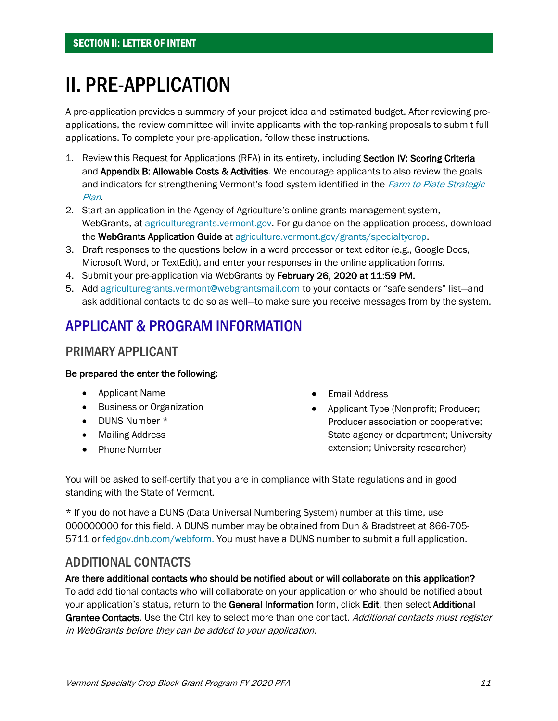# <span id="page-10-0"></span>II. PRE-APPLICATION

A pre-application provides a summary of your project idea and estimated budget. After reviewing preapplications, the review committee will invite applicants with the top-ranking proposals to submit full applications. To complete your pre-application, follow these instructions.

- 1. Review this Request for Applications (RFA) in its entirety, including Section IV: Scoring Criteria and Appendix B: Allowable Costs & Activities. We encourage applicants to also review the goals and indicators for strengthening Vermont's food system identified in the Farm to Plate Strategic [Plan](http://bit.ly/1MxZ5hJ).
- 2. Start an application in the Agency of Agriculture's online grants management system, WebGrants, at [agriculturegrants.vermont.gov.](https://agriculturegrants.vermont.gov/) For guidance on the application process, download the WebGrants Application Guide at [agriculture.vermont.gov/grants/specialtycrop.](https://agriculture.vermont.gov/grants/specialtycrop)
- 3. Draft responses to the questions below in a word processor or text editor (e.g., Google Docs, Microsoft Word, or TextEdit), and enter your responses in the online application forms.
- 4. Submit your pre-application via WebGrants by February 26, 2020 at 11:59 PM.
- 5. Add [agriculturegrants.vermont@webgrantsmail.com](mailto:agriculturegrants.vermont@webgrantsmail.com) to your contacts or "safe senders" list—and ask additional contacts to do so as well—to make sure you receive messages from by the system.

# APPLICANT & PROGRAM INFORMATION

### PRIMARY APPLICANT

#### Be prepared the enter the following:

- Applicant Name
- Business or Organization
- DUNS Number \*
- Mailing Address
- Phone Number
- Email Address
- Applicant Type (Nonprofit; Producer; Producer association or cooperative; State agency or department; University extension; University researcher)

You will be asked to self-certify that you are in compliance with State regulations and in good standing with the State of Vermont.

\* If you do not have a DUNS (Data Universal Numbering System) number at this time, use 000000000 for this field. A DUNS number may be obtained from Dun & Bradstreet at 866-705- 5711 o[r fedgov.dnb.com/webform.](http://fedgov.dnb.com/webform) You must have a DUNS number to submit a full application.

### ADDITIONAL CONTACTS

Are there additional contacts who should be notified about or will collaborate on this application?

To add additional contacts who will collaborate on your application or who should be notified about your application's status, return to the General Information form, click Edit, then select Additional Grantee Contacts. Use the Ctrl key to select more than one contact. Additional contacts must register in WebGrants before they can be added to your application.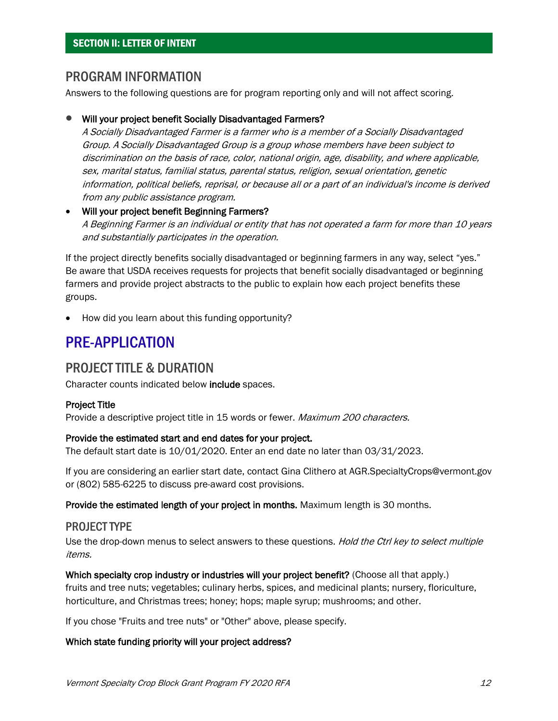### PROGRAM INFORMATION

Answers to the following questions are for program reporting only and will not affect scoring.

• Will your project benefit Socially Disadvantaged Farmers?

A Socially Disadvantaged Farmer is a farmer who is a member of a Socially Disadvantaged Group. A Socially Disadvantaged Group is a group whose members have been subject to discrimination on the basis of race, color, national origin, age, disability, and where applicable, sex, marital status, familial status, parental status, religion, sexual orientation, genetic information, political beliefs, reprisal, or because all or a part of an individual's income is derived from any public assistance program.

• Will your project benefit Beginning Farmers? A Beginning Farmer is an individual or entity that has not operated a farm for more than 10 years and substantially participates in the operation.

If the project directly benefits socially disadvantaged or beginning farmers in any way, select "yes." Be aware that USDA receives requests for projects that benefit socially disadvantaged or beginning farmers and provide project abstracts to the public to explain how each project benefits these groups.

• How did you learn about this funding opportunity?

# PRE-APPLICATION

### PROJECT TITLE & DURATION

Character counts indicated below include spaces.

#### Project Title

Provide a descriptive project title in 15 words or fewer. Maximum 200 characters.

#### Provide the estimated start and end dates for your project.

The default start date is 10/01/2020. Enter an end date no later than 03/31/2023.

If you are considering an earlier start date, contact Gina Clithero at AGR.SpecialtyCrops@vermont.gov or (802) 585-6225 to discuss pre-award cost provisions.

Provide the estimated length of your project in months. Maximum length is 30 months.

#### PROJECT TYPE

Use the drop-down menus to select answers to these questions. Hold the Ctrl key to select multiple items.

#### Which specialty crop industry or industries will your project benefit? (Choose all that apply.)

fruits and tree nuts; vegetables; culinary herbs, spices, and medicinal plants; nursery, floriculture, horticulture, and Christmas trees; honey; hops; maple syrup; mushrooms; and other.

If you chose "Fruits and tree nuts" or "Other" above, please specify.

#### Which state funding priority will your project address?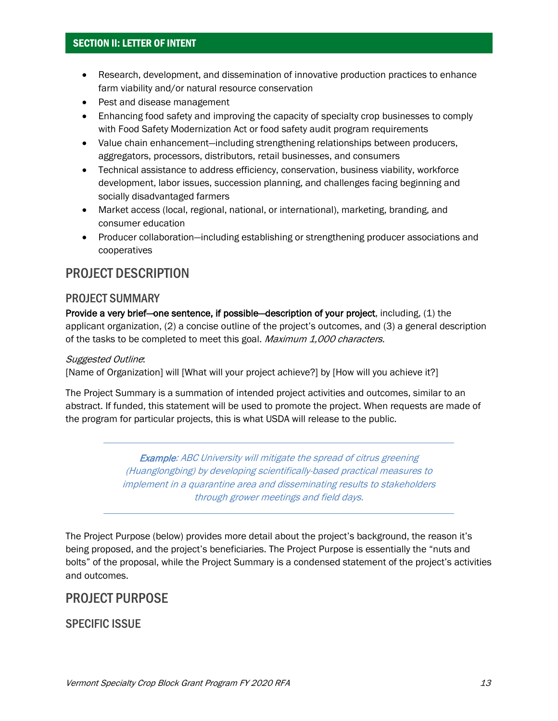#### SECTION II: LETTER OF INTENT

- Research, development, and dissemination of innovative production practices to enhance farm viability and/or natural resource conservation
- Pest and disease management
- Enhancing food safety and improving the capacity of specialty crop businesses to comply with Food Safety Modernization Act or food safety audit program requirements
- Value chain enhancement—including strengthening relationships between producers, aggregators, processors, distributors, retail businesses, and consumers
- Technical assistance to address efficiency, conservation, business viability, workforce development, labor issues, succession planning, and challenges facing beginning and socially disadvantaged farmers
- Market access (local, regional, national, or international), marketing, branding, and consumer education
- Producer collaboration—including establishing or strengthening producer associations and cooperatives

### PROJECT DESCRIPTION

#### PROJECT SUMMARY

Provide a very brief—one sentence, if possible—description of your project, including, (1) the applicant organization, (2) a concise outline of the project's outcomes, and (3) a general description of the tasks to be completed to meet this goal. Maximum 1,000 characters.

#### Suggested Outline:

[Name of Organization] will [What will your project achieve?] by [How will you achieve it?]

The Project Summary is a summation of intended project activities and outcomes, similar to an abstract. If funded, this statement will be used to promote the project. When requests are made of the program for particular projects, this is what USDA will release to the public.

> **Example:** ABC University will mitigate the spread of citrus greening (Huanglongbing) by developing scientifically-based practical measures to implement in a quarantine area and disseminating results to stakeholders through grower meetings and field days.

The Project Purpose (below) provides more detail about the project's background, the reason it's being proposed, and the project's beneficiaries. The Project Purpose is essentially the "nuts and bolts" of the proposal, while the Project Summary is a condensed statement of the project's activities and outcomes.

### PROJECT PURPOSE

SPECIFIC ISSUE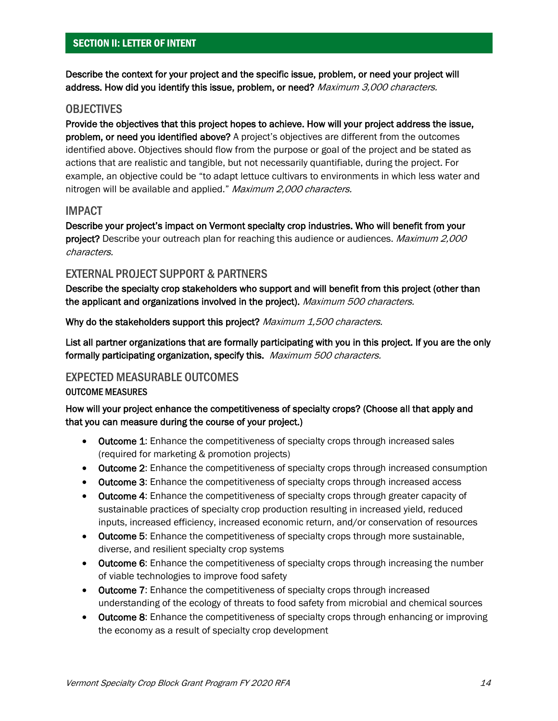#### SECTION II: LETTER OF INTENT

Describe the context for your project and the specific issue, problem, or need your project will address. How did you identify this issue, problem, or need? Maximum 3,000 characters.

#### **OBJECTIVES**

Provide the objectives that this project hopes to achieve. How will your project address the issue, problem, or need you identified above? A project's objectives are different from the outcomes identified above. Objectives should flow from the purpose or goal of the project and be stated as actions that are realistic and tangible, but not necessarily quantifiable, during the project. For example, an objective could be "to adapt lettuce cultivars to environments in which less water and nitrogen will be available and applied." Maximum 2,000 characters.

#### IMPACT

Describe your project's impact on Vermont specialty crop industries. Who will benefit from your project? Describe your outreach plan for reaching this audience or audiences. Maximum 2,000 characters.

### EXTERNAL PROJECT SUPPORT & PARTNERS

Describe the specialty crop stakeholders who support and will benefit from this project (other than the applicant and organizations involved in the project). Maximum 500 characters.

Why do the stakeholders support this project? Maximum 1,500 characters.

List all partner organizations that are formally participating with you in this project. If you are the only formally participating organization, specify this. Maximum 500 characters.

#### EXPECTED MEASURABLE OUTCOMES

#### OUTCOME MEASURES

How will your project enhance the competitiveness of specialty crops? (Choose all that apply and that you can measure during the course of your project.)

- Outcome 1: Enhance the competitiveness of specialty crops through increased sales (required for marketing & promotion projects)
- Outcome 2: Enhance the competitiveness of specialty crops through increased consumption
- Outcome 3: Enhance the competitiveness of specialty crops through increased access
- Outcome 4: Enhance the competitiveness of specialty crops through greater capacity of sustainable practices of specialty crop production resulting in increased yield, reduced inputs, increased efficiency, increased economic return, and/or conservation of resources
- Outcome 5: Enhance the competitiveness of specialty crops through more sustainable, diverse, and resilient specialty crop systems
- Outcome 6: Enhance the competitiveness of specialty crops through increasing the number of viable technologies to improve food safety
- Outcome 7: Enhance the competitiveness of specialty crops through increased understanding of the ecology of threats to food safety from microbial and chemical sources
- Outcome 8: Enhance the competitiveness of specialty crops through enhancing or improving the economy as a result of specialty crop development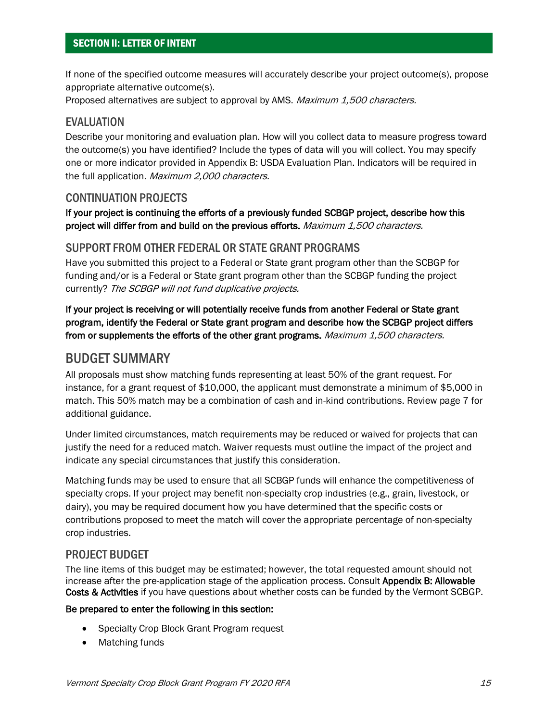#### SECTION II: LETTER OF INTENT

If none of the specified outcome measures will accurately describe your project outcome(s), propose appropriate alternative outcome(s).

Proposed alternatives are subject to approval by AMS. Maximum 1,500 characters.

#### EVALUATION

Describe your monitoring and evaluation plan. How will you collect data to measure progress toward the outcome(s) you have identified? Include the types of data will you will collect. You may specify one or more indicator provided in Appendix B: USDA Evaluation Plan. Indicators will be required in the full application. Maximum 2,000 characters.

#### CONTINUATION PROJECTS

If your project is continuing the efforts of a previously funded SCBGP project, describe how this project will differ from and build on the previous efforts. Maximum 1,500 characters.

#### SUPPORT FROM OTHER FEDERAL OR STATE GRANT PROGRAMS

Have you submitted this project to a Federal or State grant program other than the SCBGP for funding and/or is a Federal or State grant program other than the SCBGP funding the project currently? The SCBGP will not fund duplicative projects.

If your project is receiving or will potentially receive funds from another Federal or State grant program, identify the Federal or State grant program and describe how the SCBGP project differs from or supplements the efforts of the other grant programs. Maximum 1,500 characters.

### BUDGET SUMMARY

All proposals must show matching funds representing at least 50% of the grant request. For instance, for a grant request of \$10,000, the applicant must demonstrate a minimum of \$5,000 in match. This 50% match may be a combination of cash and in-kind contributions. Review page 7 for additional guidance.

Under limited circumstances, match requirements may be reduced or waived for projects that can justify the need for a reduced match. Waiver requests must outline the impact of the project and indicate any special circumstances that justify this consideration.

Matching funds may be used to ensure that all SCBGP funds will enhance the competitiveness of specialty crops. If your project may benefit non-specialty crop industries (e.g., grain, livestock, or dairy), you may be required document how you have determined that the specific costs or contributions proposed to meet the match will cover the appropriate percentage of non-specialty crop industries.

#### PROJECT BUDGET

The line items of this budget may be estimated; however, the total requested amount should not increase after the pre-application stage of the application process. Consult Appendix B: Allowable Costs & Activities if you have questions about whether costs can be funded by the Vermont SCBGP.

#### Be prepared to enter the following in this section:

- Specialty Crop Block Grant Program request
- Matching funds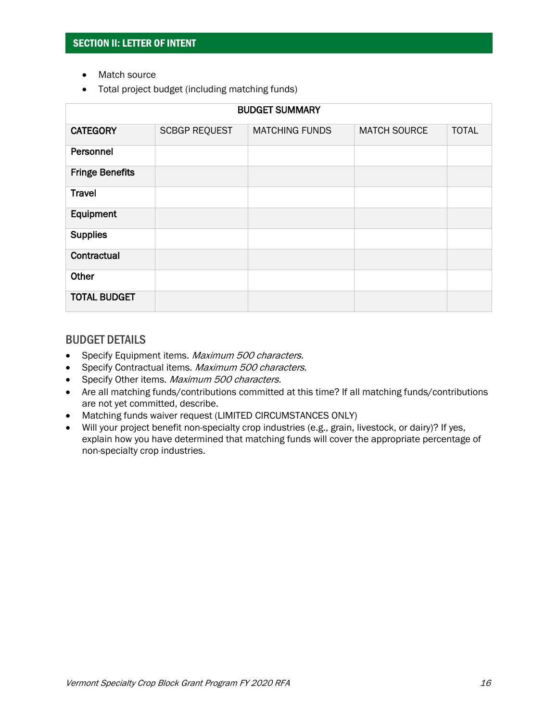- Match source
- Total project budget (including matching funds)

| <b>BUDGET SUMMARY</b>  |                      |                       |                     |              |  |  |
|------------------------|----------------------|-----------------------|---------------------|--------------|--|--|
| <b>CATEGORY</b>        | <b>SCBGP REQUEST</b> | <b>MATCHING FUNDS</b> | <b>MATCH SOURCE</b> | <b>TOTAL</b> |  |  |
| Personnel              |                      |                       |                     |              |  |  |
| <b>Fringe Benefits</b> |                      |                       |                     |              |  |  |
| <b>Travel</b>          |                      |                       |                     |              |  |  |
| Equipment              |                      |                       |                     |              |  |  |
| <b>Supplies</b>        |                      |                       |                     |              |  |  |
| Contractual            |                      |                       |                     |              |  |  |
| <b>Other</b>           |                      |                       |                     |              |  |  |
| <b>TOTAL BUDGET</b>    |                      |                       |                     |              |  |  |

#### BUDGET DETAILS

- Specify Equipment items. Maximum 500 characters.
- Specify Contractual items. Maximum 500 characters.
- Specify Other items. Maximum 500 characters.
- Are all matching funds/contributions committed at this time? If all matching funds/contributions are not yet committed, describe.
- Matching funds waiver request (LIMITED CIRCUMSTANCES ONLY)
- Will your project benefit non-specialty crop industries (e.g., grain, livestock, or dairy)? If yes, explain how you have determined that matching funds will cover the appropriate percentage of non-specialty crop industries.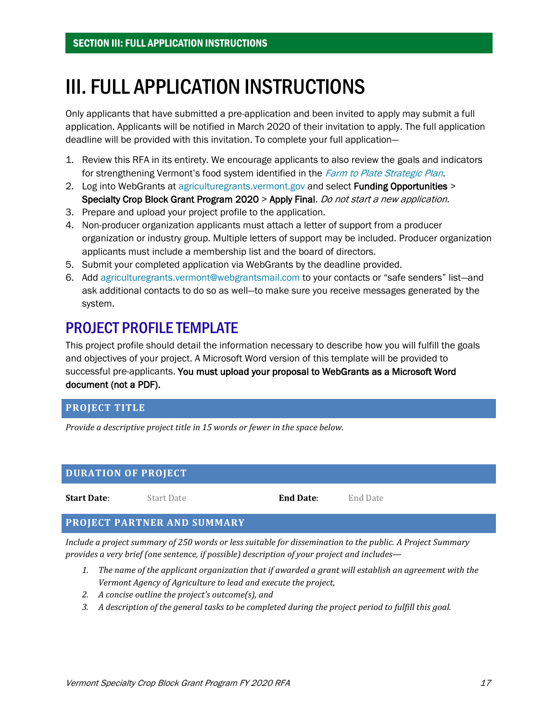# <span id="page-16-0"></span>III. FULL APPLICATION INSTRUCTIONS

Only applicants that have submitted a pre-application and been invited to apply may submit a full application. Applicants will be notified in March 2020 of their invitation to apply. The full application deadline will be provided with this invitation. To complete your full application—

- 1. Review this RFA in its entirety. We encourage applicants to also review the goals and indicators for strengthening Vermont's food system identified in the *[Farm to Plate Strategic Plan](http://bit.ly/1MxZ5hJ)*.
- 2. Log into WebGrants at [agriculturegrants.vermont.gov](https://agriculturegrants.vermont.gov/) and select Funding Opportunities > Specialty Crop Block Grant Program 2020 > Apply Final. Do not start a new application.
- 3. Prepare and upload your project profile to the application.
- 4. Non-producer organization applicants must attach a letter of support from a producer organization or industry group. Multiple letters of support may be included. Producer organization applicants must include a membership list and the board of directors.
- 5. Submit your completed application via WebGrants by the deadline provided.
- 6. Add [agriculturegrants.vermont@webgrantsmail.com](mailto:agriculturegrants.vermont@webgrantsmail.com) to your contacts or "safe senders" list—and ask additional contacts to do so as well—to make sure you receive messages generated by the system.

# PROJECT PROFILE TEMPLATE

This project profile should detail the information necessary to describe how you will fulfill the goals and objectives of your project. A Microsoft Word version of this template will be provided to successful pre-applicants. You must upload your proposal to WebGrants as a Microsoft Word document (not a PDF).

### **PROJECT TITLE**

*Provide a descriptive project title in 15 words or fewer in the space below.*

# **DURATION OF PROJECT Start Date**: Start Date **End Date**: End Date

#### **PROJECT PARTNER AND SUMMARY**

*Include a project summary of 250 words or less suitable for dissemination to the public. A Project Summary provides a very brief (one sentence, if possible) description of your project and includes—*

- *1. The name of the applicant organization that if awarded a grant will establish an agreement with the Vermont Agency of Agriculture to lead and execute the project,*
- *2. A concise outline the project's outcome(s), and*
- *3. A description of the general tasks to be completed during the project period to fulfill this goal.*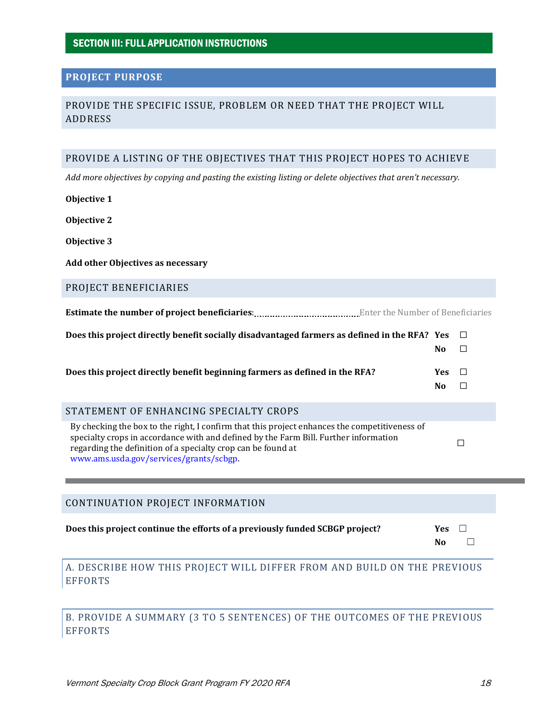#### **PROJECT PURPOSE**

#### PROVIDE THE SPECIFIC ISSUE, PROBLEM OR NEED THAT THE PROJECT WILL ADDRESS

#### PROVIDE A LISTING OF THE OBJECTIVES THAT THIS PROJECT HOPES TO ACHIEVE

*Add more objectives by copying and pasting the existing listing or delete objectives that aren't necessary.*

**Objective 1** 

**Objective 2** 

**Objective 3**

**Add other Objectives as necessary**

#### PROJECT BENEFICIARIES

**Estimate the number of project beneficiaries**: Enter the Number of Beneficiaries

| Does this project directly benefit socially disadvantaged farmers as defined in the RFA? Yes $\Box$ |     |  |  |
|-----------------------------------------------------------------------------------------------------|-----|--|--|
|                                                                                                     | No. |  |  |
|                                                                                                     |     |  |  |

| Does this project directly benefit beginning farmers as defined in the RFA? |    |  |
|-----------------------------------------------------------------------------|----|--|
|                                                                             | No |  |

#### STATEMENT OF ENHANCING SPECIALTY CROPS

By checking the box to the right, I confirm that this project enhances the competitiveness of specialty crops in accordance with and defined by the Farm Bill. Further information regarding the definition of a specialty crop can be found at [www.ams.usda.gov/services/grants/scbgp.](http://www.ams.usda.gov/services/grants/scbgp)

#### CONTINUATION PROJECT INFORMATION

| Does this project continue the efforts of a previously funded SCBGP project? | Yes $\Box$ |  |
|------------------------------------------------------------------------------|------------|--|
|                                                                              | No.        |  |

#### A. DESCRIBE HOW THIS PROJECT WILL DIFFER FROM AND BUILD ON THE PREVIOUS EFFORTS

#### B. PROVIDE A SUMMARY (3 TO 5 SENTENCES) OF THE OUTCOMES OF THE PREVIOUS EFFORTS

☐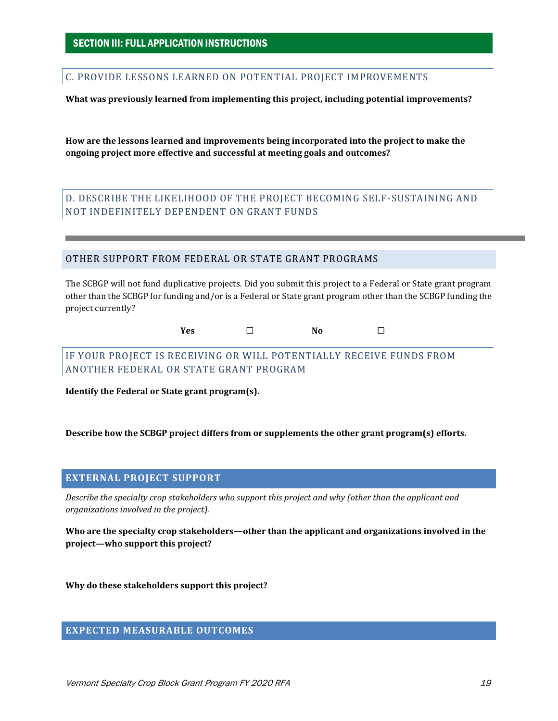#### C. PROVIDE LESSONS LEARNED ON POTENTIAL PROJECT IMPROVEMENTS

**What was previously learned from implementing this project, including potential improvements?**

**How are the lessons learned and improvements being incorporated into the project to make the ongoing project more effective and successful at meeting goals and outcomes?**

### D. DESCRIBE THE LIKELIHOOD OF THE PROJECT BECOMING SELF-SUSTAINING AND NOT INDEFINITELY DEPENDENT ON GRANT FUNDS

#### OTHER SUPPORT FROM FEDERAL OR STATE GRANT PROGRAMS

The SCBGP will not fund duplicative projects. Did you submit this project to a Federal or State grant program other than the SCBGP for funding and/or is a Federal or State grant program other than the SCBGP funding the project currently?

**Yes** ☐ **No** ☐

#### IF YOUR PROJECT IS RECEIVING OR WILL POTENTIALLY RECEIVE FUNDS FROM ANOTHER FEDERAL OR STATE GRANT PROGRAM

**Identify the Federal or State grant program(s).**

#### **Describe how the SCBGP project differs from or supplements the other grant program(s) efforts.**

#### **EXTERNAL PROJECT SUPPORT**

*Describe the specialty crop stakeholders who support this project and why (other than the applicant and organizations involved in the project).*

**Who are the specialty crop stakeholders—other than the applicant and organizations involved in the project—who support this project?**

**Why do these stakeholders support this project?** 

#### **EXPECTED MEASURABLE OUTCOMES**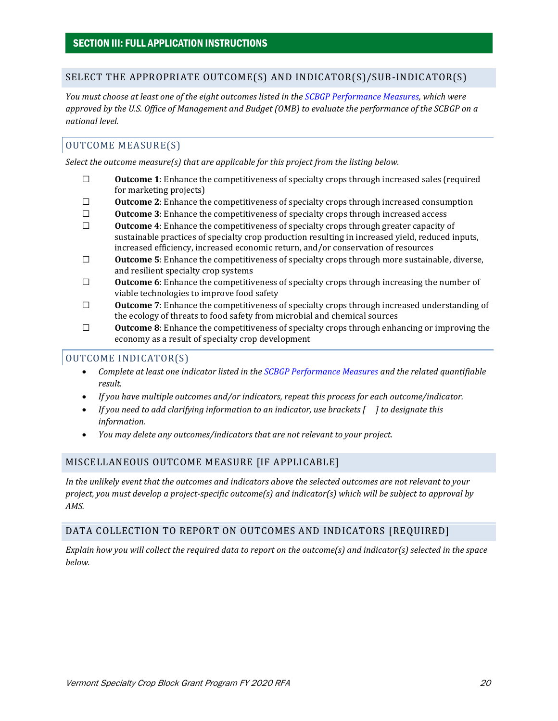#### SELECT THE APPROPRIATE OUTCOME(S) AND INDICATOR(S)/SUB-INDICATOR(S)

*You must choose at least one of the eight outcomes listed in the [SCBGP Performance Measures,](http://www.ams.usda.gov/sites/default/files/media/SCBGP%20FY15%20PerformanceFINAL_10272015.pdf) which were approved by the U.S. Office of Management and Budget (OMB) to evaluate the performance of the SCBGP on a national level.* 

### OUTCOME MEASURE(S)

*Select the outcome measure(s) that are applicable for this project from the listing below.*

- ☐ **Outcome 1**: Enhance the competitiveness of specialty crops through increased sales (required for marketing projects)
- ☐ **Outcome 2**: Enhance the competitiveness of specialty crops through increased consumption
- ☐ **Outcome 3**: Enhance the competitiveness of specialty crops through increased access
- ☐ **Outcome 4**: Enhance the competitiveness of specialty crops through greater capacity of sustainable practices of specialty crop production resulting in increased yield, reduced inputs, increased efficiency, increased economic return, and/or conservation of resources
- ☐ **Outcome 5**: Enhance the competitiveness of specialty crops through more sustainable, diverse, and resilient specialty crop systems
- ☐ **Outcome 6**: Enhance the competitiveness of specialty crops through increasing the number of viable technologies to improve food safety
- ☐ **Outcome 7**: Enhance the competitiveness of specialty crops through increased understanding of the ecology of threats to food safety from microbial and chemical sources
- ☐ **Outcome 8**: Enhance the competitiveness of specialty crops through enhancing or improving the economy as a result of specialty crop development

#### OUTCOME INDICATOR(S)

- *Complete at least one indicator listed in the [SCBGP Performance Measures](http://www.ams.usda.gov/sites/default/files/media/SCBGP%20FY15%20PerformanceFINAL_10272015.pdf) and the related quantifiable result.*
- *If you have multiple outcomes and/or indicators, repeat this process for each outcome/indicator.*
- *If you need to add clarifying information to an indicator, use brackets [ ] to designate this information.*
- *You may delete any outcomes/indicators that are not relevant to your project.*

#### MISCELLANEOUS OUTCOME MEASURE [IF APPLICABLE]

*In the unlikely event that the outcomes and indicators above the selected outcomes are not relevant to your project, you must develop a project-specific outcome(s) and indicator(s) which will be subject to approval by AMS.*

#### DATA COLLECTION TO REPORT ON OUTCOMES AND INDICATORS [REQUIRED]

*Explain how you will collect the required data to report on the outcome(s) and indicator(s) selected in the space below.*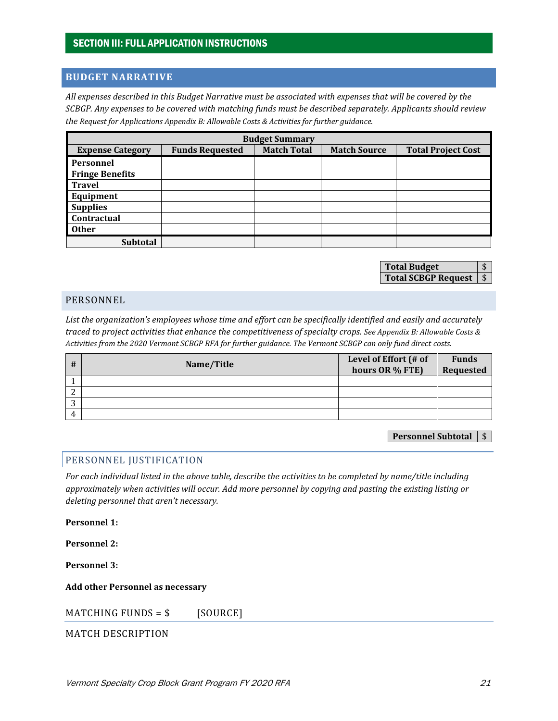#### **BUDGET NARRATIVE**

*All expenses described in this Budget Narrative must be associated with expenses that will be covered by the SCBGP. Any expenses to be covered with matching funds must be described separately. Applicants should review the Request for Applications Appendix B: Allowable Costs & Activities for further guidance.*

| <b>Budget Summary</b>   |                        |                    |                     |                           |  |  |
|-------------------------|------------------------|--------------------|---------------------|---------------------------|--|--|
| <b>Expense Category</b> | <b>Funds Requested</b> | <b>Match Total</b> | <b>Match Source</b> | <b>Total Project Cost</b> |  |  |
| Personnel               |                        |                    |                     |                           |  |  |
| <b>Fringe Benefits</b>  |                        |                    |                     |                           |  |  |
| <b>Travel</b>           |                        |                    |                     |                           |  |  |
| Equipment               |                        |                    |                     |                           |  |  |
| <b>Supplies</b>         |                        |                    |                     |                           |  |  |
| Contractual             |                        |                    |                     |                           |  |  |
| <b>Other</b>            |                        |                    |                     |                           |  |  |
| <b>Subtotal</b>         |                        |                    |                     |                           |  |  |

| Total Budget               |  |
|----------------------------|--|
| <b>Total SCBGP Request</b> |  |

#### PERSONNEL

*List the organization's employees whose time and effort can be specifically identified and easily and accurately traced to project activities that enhance the competitiveness of specialty crops. See Appendix B: Allowable Costs & Activities from the 2020 Vermont SCBGP RFA for further guidance. The Vermont SCBGP can only fund direct costs.*

| #      | Name/Title | Level of Effort (# of<br>hours OR % FTE) | <b>Funds</b><br>Requested |
|--------|------------|------------------------------------------|---------------------------|
|        |            |                                          |                           |
| ∸      |            |                                          |                           |
| ີ<br>ر |            |                                          |                           |
| 4      |            |                                          |                           |

**Personnel Subtotal** | \$

#### PERSONNEL JUSTIFICATION

*For each individual listed in the above table, describe the activities to be completed by name/title including approximately when activities will occur. Add more personnel by copying and pasting the existing listing or deleting personnel that aren't necessary.*

#### **Personnel 1:**

**Personnel 2:** 

**Personnel 3:** 

**Add other Personnel as necessary**

MATCHING FUNDS =  $$$  [SOURCE]

MATCH DESCRIPTION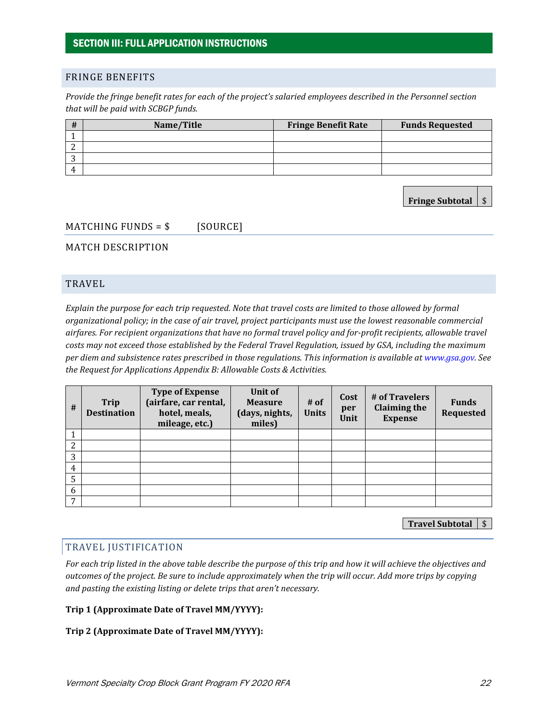#### FRINGE BENEFITS

*Provide the fringe benefit rates for each of the project's salaried employees described in the Personnel section that will be paid with SCBGP funds.*

| # | Name/Title | <b>Fringe Benefit Rate</b> | <b>Funds Requested</b> |
|---|------------|----------------------------|------------------------|
|   |            |                            |                        |
|   |            |                            |                        |
|   |            |                            |                        |
|   |            |                            |                        |

**Fringe Subtotal** | \$

#### MATCHING FUNDS =  $$$  [SOURCE]

#### MATCH DESCRIPTION

#### TRAVEL

*Explain the purpose for each trip requested. Note that travel costs are limited to those allowed by formal organizational policy; in the case of air travel, project participants must use the lowest reasonable commercial airfares. For recipient organizations that have no formal travel policy and for-profit recipients, allowable travel costs may not exceed those established by the Federal Travel Regulation, issued by GSA, including the maximum per diem and subsistence rates prescribed in those regulations. This information is available at [www.gsa.gov.](http://www.gsa.gov/) See the Request for Applications Appendix B: Allowable Costs & Activities.*

| #              | <b>Trip</b><br><b>Destination</b> | <b>Type of Expense</b><br>(airfare, car rental,<br>hotel, meals,<br>mileage, etc.) | <b>Unit of</b><br><b>Measure</b><br>(days, nights,<br>miles) | $#$ of<br><b>Units</b> | Cost<br>per<br>Unit | # of Travelers<br><b>Claiming the</b><br><b>Expense</b> | <b>Funds</b><br><b>Requested</b> |
|----------------|-----------------------------------|------------------------------------------------------------------------------------|--------------------------------------------------------------|------------------------|---------------------|---------------------------------------------------------|----------------------------------|
|                |                                   |                                                                                    |                                                              |                        |                     |                                                         |                                  |
| 2              |                                   |                                                                                    |                                                              |                        |                     |                                                         |                                  |
| 3              |                                   |                                                                                    |                                                              |                        |                     |                                                         |                                  |
| 4              |                                   |                                                                                    |                                                              |                        |                     |                                                         |                                  |
| 5              |                                   |                                                                                    |                                                              |                        |                     |                                                         |                                  |
| 6              |                                   |                                                                                    |                                                              |                        |                     |                                                         |                                  |
| $\overline{ }$ |                                   |                                                                                    |                                                              |                        |                     |                                                         |                                  |

**Travel Subtotal** 

#### TRAVEL JUSTIFICATION

*For each trip listed in the above table describe the purpose of this trip and how it will achieve the objectives and outcomes of the project. Be sure to include approximately when the trip will occur. Add more trips by copying and pasting the existing listing or delete trips that aren't necessary.*

#### **Trip 1 (Approximate Date of Travel MM/YYYY):**

#### **Trip 2 (Approximate Date of Travel MM/YYYY):**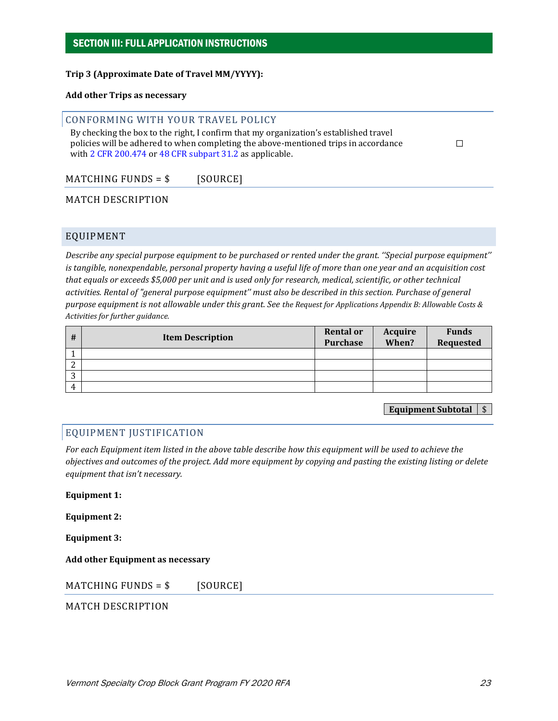#### **Trip 3 (Approximate Date of Travel MM/YYYY):**

#### **Add other Trips as necessary**

CONFORMING WITH YOUR TRAVEL POLICY By checking the box to the right, I confirm that my organization's established travel policies will be adhered to when completing the above-mentioned trips in accordance with [2 CFR 200.474](http://www.ecfr.gov/cgi-bin/retrieveECFR?gp=&SID=988467ba214fbb07298599affd94f30a&n=pt2.1.200&r=PART&ty=HTML#se2.1.200_1474) or [48 CFR subpart 31.2](http://www.ecfr.gov/cgi-bin/text-idx?SID=3f25ca1f21583e03b13f595d0d9c518d&node=pt48.1.31&rgn=div5#sp48.1.31.31_12) as applicable.

☐

MATCHING FUNDS =  $$$  [SOURCE]

#### MATCH DESCRIPTION

#### EQUIPMENT

*Describe any special purpose equipment to be purchased or rented under the grant. ''Special purpose equipment'' is tangible, nonexpendable, personal property having a useful life of more than one year and an acquisition cost that equals or exceeds \$5,000 per unit and is used only for research, medical, scientific, or other technical activities. Rental of "general purpose equipment" must also be described in this section. Purchase of general purpose equipment is not allowable under this grant. See the Request for Applications Appendix B: Allowable Costs & Activities for further guidance.*

| #        | <b>Item Description</b> | <b>Rental or</b><br>Purchase | Acquire<br>When? | <b>Funds</b><br><b>Requested</b> |
|----------|-------------------------|------------------------------|------------------|----------------------------------|
|          |                         |                              |                  |                                  |
| ▵        |                         |                              |                  |                                  |
| ⌒<br>. . |                         |                              |                  |                                  |
| 4        |                         |                              |                  |                                  |

**Equipment Subtotal** | \$

#### EQUIPMENT JUSTIFICATION

*For each Equipment item listed in the above table describe how this equipment will be used to achieve the objectives and outcomes of the project. Add more equipment by copying and pasting the existing listing or delete equipment that isn't necessary.*

**Equipment 1:** 

**Equipment 2:**

**Equipment 3:** 

**Add other Equipment as necessary**

MATCHING FUNDS =  $$$  [SOURCE]

MATCH DESCRIPTION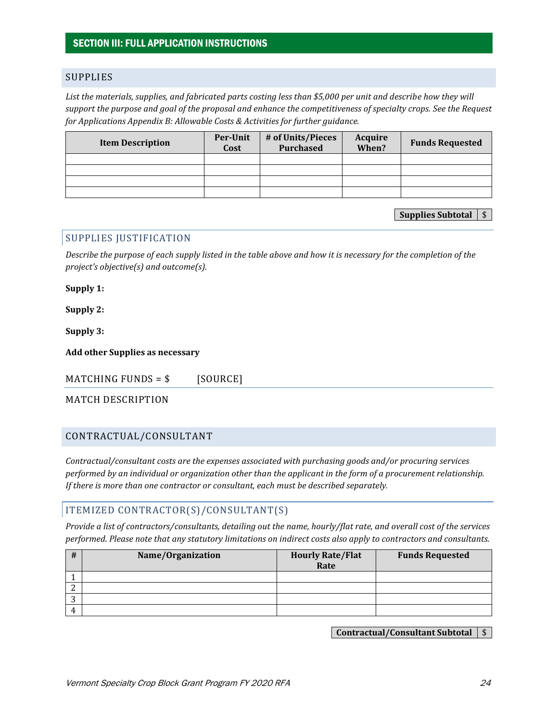#### SUPPLIES

*List the materials, supplies, and fabricated parts costing less than \$5,000 per unit and describe how they will support the purpose and goal of the proposal and enhance the competitiveness of specialty crops. See the Request for Applications Appendix B: Allowable Costs & Activities for further guidance.*

| <b>Item Description</b> | Per-Unit<br>Cost | # of Units/Pieces<br>Purchased | Acquire<br>When? | <b>Funds Requested</b> |
|-------------------------|------------------|--------------------------------|------------------|------------------------|
|                         |                  |                                |                  |                        |
|                         |                  |                                |                  |                        |
|                         |                  |                                |                  |                        |
|                         |                  |                                |                  |                        |

**Supplies Subtotal** \$

#### SUPPLIES JUSTIFICATION

*Describe the purpose of each supply listed in the table above and how it is necessary for the completion of the project's objective(s) and outcome(s).*

**Supply 1:** 

**Supply 2:**

**Supply 3:** 

**Add other Supplies as necessary**

| MATCHING FUNDS = $$$ | [SOURCE] |
|----------------------|----------|
|----------------------|----------|

#### MATCH DESCRIPTION

#### CONTRACTUAL/CONSULTANT

*Contractual/consultant costs are the expenses associated with purchasing goods and/or procuring services performed by an individual or organization other than the applicant in the form of a procurement relationship. If there is more than one contractor or consultant, each must be described separately.*

#### ITEMIZED CONTRACTOR(S)/CONSULTANT(S)

*Provide a list of contractors/consultants, detailing out the name, hourly/flat rate, and overall cost of the services performed. Please note that any statutory limitations on indirect costs also apply to contractors and consultants.*

| # | Name/Organization | <b>Hourly Rate/Flat</b><br>Rate | <b>Funds Requested</b> |
|---|-------------------|---------------------------------|------------------------|
|   |                   |                                 |                        |
| ∸ |                   |                                 |                        |
| ື |                   |                                 |                        |
|   |                   |                                 |                        |

**Contractual/Consultant Subtotal** \$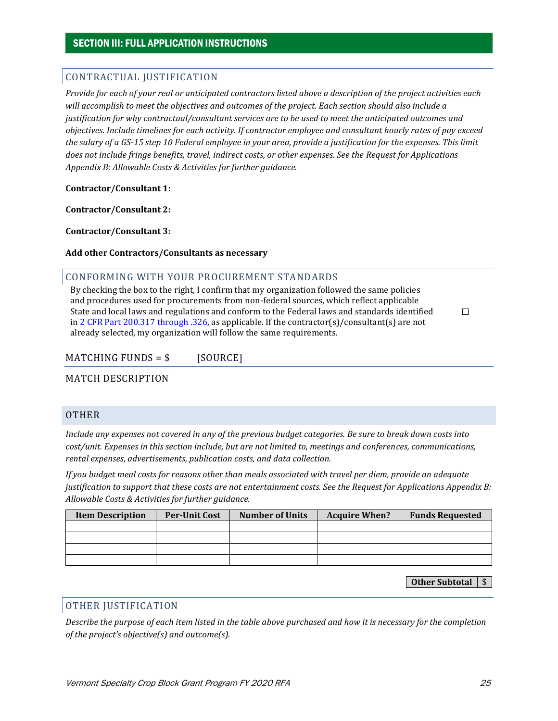#### CONTRACTUAL JUSTIFICATION

*Provide for each of your real or anticipated contractors listed above a description of the project activities each will accomplish to meet the objectives and outcomes of the project. Each section should also include a justification for why contractual/consultant services are to be used to meet the anticipated outcomes and objectives. Include timelines for each activity. If contractor employee and consultant hourly rates of pay exceed the salary of a GS-15 step 10 Federal employee in your area, provide a justification for the expenses. This limit does not include fringe benefits, travel, indirect costs, or other expenses. See the Request for Applications Appendix B: Allowable Costs & Activities for further guidance.*

**Contractor/Consultant 1:**

**Contractor/Consultant 2:**

**Contractor/Consultant 3:**

#### **Add other Contractors/Consultants as necessary**

#### CONFORMING WITH YOUR PROCUREMENT STANDARDS

By checking the box to the right, I confirm that my organization followed the same policies and procedures used for procurements from non-federal sources, which reflect applicable State and local laws and regulations and conform to the Federal laws and standards identified in [2 CFR Part 200.317 through .326,](http://www.ecfr.gov/cgi-bin/retrieveECFR?gp=&SID=988467ba214fbb07298599affd94f30a&n=pt2.1.200&r=PART&ty=HTML#sg2.1.200_1316.sg3) as applicable. If the contractor(s)/consultant(s) are not already selected, my organization will follow the same requirements.

☐

MATCHING FUNDS =  $$$  [SOURCE]

MATCH DESCRIPTION

#### OTHER

*Include any expenses not covered in any of the previous budget categories. Be sure to break down costs into cost/unit. Expenses in this section include, but are not limited to, meetings and conferences, communications, rental expenses, advertisements, publication costs, and data collection.*

*If you budget meal costs for reasons other than meals associated with travel per diem, provide an adequate justification to support that these costs are not entertainment costs. See the Request for Applications Appendix B: Allowable Costs & Activities for further guidance.*

| <b>Item Description</b> | <b>Per-Unit Cost</b> | <b>Number of Units</b> | <b>Acquire When?</b> | <b>Funds Requested</b> |
|-------------------------|----------------------|------------------------|----------------------|------------------------|
|                         |                      |                        |                      |                        |
|                         |                      |                        |                      |                        |
|                         |                      |                        |                      |                        |
|                         |                      |                        |                      |                        |

**Other Subtotal** 

#### OTHER JUSTIFICATION

*Describe the purpose of each item listed in the table above purchased and how it is necessary for the completion of the project's objective(s) and outcome(s).*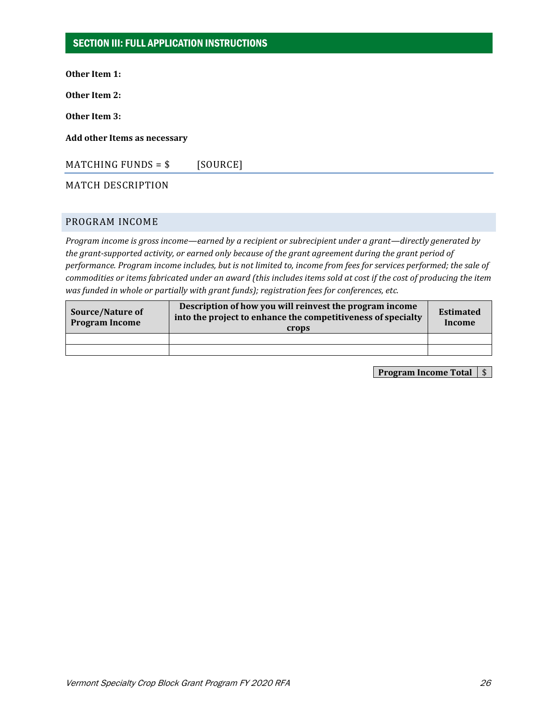**Other Item 1:** 

**Other Item 2:**

**Other Item 3:** 

**Add other Items as necessary**

MATCHING FUNDS =  $$$  [SOURCE]

#### MATCH DESCRIPTION

#### PROGRAM INCOME

*Program income is gross income—earned by a recipient or subrecipient under a grant—directly generated by the grant-supported activity, or earned only because of the grant agreement during the grant period of performance. Program income includes, but is not limited to, income from fees for services performed; the sale of commodities or items fabricated under an award (this includes items sold at cost if the cost of producing the item was funded in whole or partially with grant funds); registration fees for conferences, etc.*

| Source/Nature of<br><b>Program Income</b> | Description of how you will reinvest the program income<br>into the project to enhance the competitiveness of specialty<br>crops | <b>Estimated</b><br>Income |
|-------------------------------------------|----------------------------------------------------------------------------------------------------------------------------------|----------------------------|
|                                           |                                                                                                                                  |                            |
|                                           |                                                                                                                                  |                            |

**Program Income Total** | \$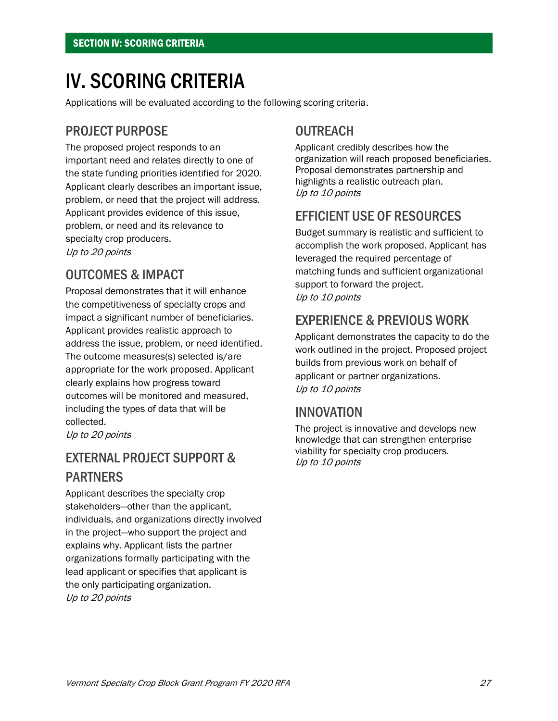# <span id="page-26-0"></span>IV. SCORING CRITERIA

Applications will be evaluated according to the following scoring criteria.

# PROJECT PURPOSE

The proposed project responds to an important need and relates directly to one of the state funding priorities identified for 2020. Applicant clearly describes an important issue, problem, or need that the project will address. Applicant provides evidence of this issue, problem, or need and its relevance to specialty crop producers. Up to 20 points

# OUTCOMES & IMPACT

Proposal demonstrates that it will enhance the competitiveness of specialty crops and impact a significant number of beneficiaries. Applicant provides realistic approach to address the issue, problem, or need identified. The outcome measures(s) selected is/are appropriate for the work proposed. Applicant clearly explains how progress toward outcomes will be monitored and measured, including the types of data that will be collected.

Up to 20 points

# EXTERNAL PROJECT SUPPORT & PARTNERS

Applicant describes the specialty crop stakeholders—other than the applicant, individuals, and organizations directly involved in the project—who support the project and explains why. Applicant lists the partner organizations formally participating with the lead applicant or specifies that applicant is the only participating organization. Up to 20 points

# **OUTREACH**

Applicant credibly describes how the organization will reach proposed beneficiaries. Proposal demonstrates partnership and highlights a realistic outreach plan. Up to 10 points

# EFFICIENT USE OF RESOURCES

Budget summary is realistic and sufficient to accomplish the work proposed. Applicant has leveraged the required percentage of matching funds and sufficient organizational support to forward the project. Up to 10 points

# EXPERIENCE & PREVIOUS WORK

Applicant demonstrates the capacity to do the work outlined in the project. Proposed project builds from previous work on behalf of applicant or partner organizations. Up to 10 points

## INNOVATION

The project is innovative and develops new knowledge that can strengthen enterprise viability for specialty crop producers. Up to 10 points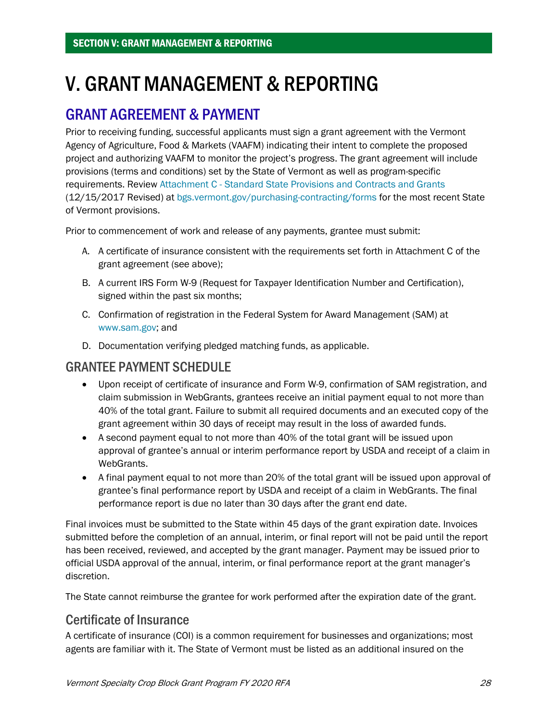# <span id="page-27-0"></span>V. GRANT MANAGEMENT & REPORTING

# GRANT AGREEMENT & PAYMENT

Prior to receiving funding, successful applicants must sign a grant agreement with the Vermont Agency of Agriculture, Food & Markets (VAAFM) indicating their intent to complete the proposed project and authorizing VAAFM to monitor the project's progress. The grant agreement will include provisions (terms and conditions) set by the State of Vermont as well as program-specific requirements. Review Attachment C - [Standard State Provisions and Contracts and Grants](http://bgs.vermont.gov/sites/bgs/files/files/purchasing-contracting/pcard/ATTACHMENT%20C%20-%20rev%20Dec%202017%20CLEAN.docx) (12/15/2017 Revised) at [bgs.vermont.gov/purchasing-contracting/forms](http://bgs.vermont.gov/purchasing-contracting/forms) for the most recent State of Vermont provisions.

Prior to commencement of work and release of any payments, grantee must submit:

- A. A certificate of insurance consistent with the requirements set forth in Attachment C of the grant agreement (see above);
- B. A current IRS Form W-9 (Request for Taxpayer Identification Number and Certification), signed within the past six months;
- C. Confirmation of registration in the Federal System for Award Management (SAM) at [www.sam.gov;](https://www.sam.gov/) and
- D. Documentation verifying pledged matching funds, as applicable.

### GRANTEE PAYMENT SCHEDULE

- Upon receipt of certificate of insurance and Form W-9, confirmation of SAM registration, and claim submission in WebGrants, grantees receive an initial payment equal to not more than 40% of the total grant. Failure to submit all required documents and an executed copy of the grant agreement within 30 days of receipt may result in the loss of awarded funds.
- A second payment equal to not more than 40% of the total grant will be issued upon approval of grantee's annual or interim performance report by USDA and receipt of a claim in WebGrants.
- A final payment equal to not more than 20% of the total grant will be issued upon approval of grantee's final performance report by USDA and receipt of a claim in WebGrants. The final performance report is due no later than 30 days after the grant end date.

Final invoices must be submitted to the State within 45 days of the grant expiration date. Invoices submitted before the completion of an annual, interim, or final report will not be paid until the report has been received, reviewed, and accepted by the grant manager. Payment may be issued prior to official USDA approval of the annual, interim, or final performance report at the grant manager's discretion.

The State cannot reimburse the grantee for work performed after the expiration date of the grant.

## Certificate of Insurance

A certificate of insurance (COI) is a common requirement for businesses and organizations; most agents are familiar with it. The State of Vermont must be listed as an additional insured on the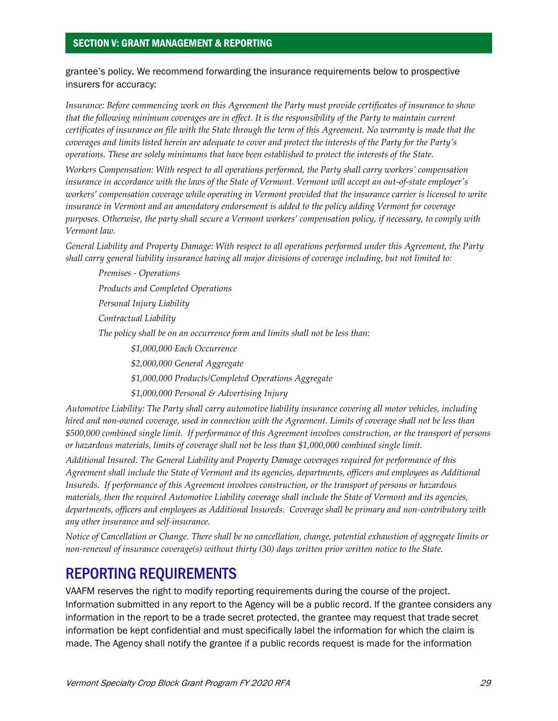#### SECTION V: GRANT MANAGEMENT & REPORTING

grantee's policy. We recommend forwarding the insurance requirements below to prospective insurers for accuracy:

*Insurance: Before commencing work on this Agreement the Party must provide certificates of insurance to show that the following minimum coverages are in effect. It is the responsibility of the Party to maintain current certificates of insurance on file with the State through the term of this Agreement. No warranty is made that the coverages and limits listed herein are adequate to cover and protect the interests of the Party for the Party's operations. These are solely minimums that have been established to protect the interests of the State.* 

*Workers Compensation: With respect to all operations performed, the Party shall carry workers' compensation insurance in accordance with the laws of the State of Vermont. Vermont will accept an out-of-state employer's*  workers' compensation coverage while operating in Vermont provided that the insurance carrier is licensed to write *insurance in Vermont and an amendatory endorsement is added to the policy adding Vermont for coverage purposes. Otherwise, the party shall secure a Vermont workers' compensation policy, if necessary, to comply with Vermont law.* 

*General Liability and Property Damage: With respect to all operations performed under this Agreement, the Party shall carry general liability insurance having all major divisions of coverage including, but not limited to:* 

*Premises - Operations Products and Completed Operations Personal Injury Liability Contractual Liability The policy shall be on an occurrence form and limits shall not be less than: \$1,000,000 Each Occurrence \$2,000,000 General Aggregate \$1,000,000 Products/Completed Operations Aggregate \$1,000,000 Personal & Advertising Injury*

*Automotive Liability: The Party shall carry automotive liability insurance covering all motor vehicles, including hired and non-owned coverage, used in connection with the Agreement. Limits of coverage shall not be less than \$500,000 combined single limit. If performance of this Agreement involves construction, or the transport of persons or hazardous materials, limits of coverage shall not be less than \$1,000,000 combined single limit.* 

*Additional Insured. The General Liability and Property Damage coverages required for performance of this Agreement shall include the State of Vermont and its agencies, departments, officers and employees as Additional Insureds. If performance of this Agreement involves construction, or the transport of persons or hazardous materials, then the required Automotive Liability coverage shall include the State of Vermont and its agencies, departments, officers and employees as Additional Insureds. Coverage shall be primary and non-contributory with any other insurance and self-insurance.* 

*Notice of Cancellation or Change. There shall be no cancellation, change, potential exhaustion of aggregate limits or non-renewal of insurance coverage(s) without thirty (30) days written prior written notice to the State.* 

## REPORTING REQUIREMENTS

VAAFM reserves the right to modify reporting requirements during the course of the project. Information submitted in any report to the Agency will be a public record. If the grantee considers any information in the report to be a trade secret protected, the grantee may request that trade secret information be kept confidential and must specifically label the information for which the claim is made. The Agency shall notify the grantee if a public records request is made for the information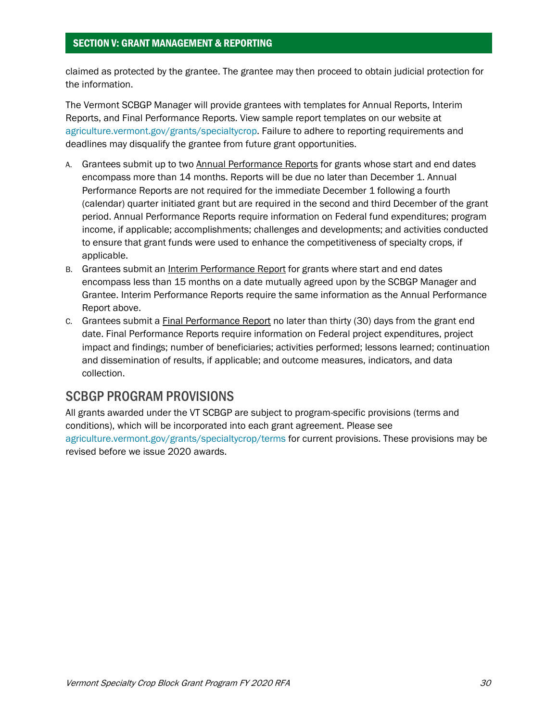claimed as protected by the grantee. The grantee may then proceed to obtain judicial protection for the information.

The Vermont SCBGP Manager will provide grantees with templates for Annual Reports, Interim Reports, and Final Performance Reports. View sample report templates on our website at agriculture.vermont.gov/grants/specialtycrop. Failure to adhere to reporting requirements and deadlines may disqualify the grantee from future grant opportunities.

- A. Grantees submit up to two Annual Performance Reports for grants whose start and end dates encompass more than 14 months. Reports will be due no later than December 1. Annual Performance Reports are not required for the immediate December 1 following a fourth (calendar) quarter initiated grant but are required in the second and third December of the grant period. Annual Performance Reports require information on Federal fund expenditures; program income, if applicable; accomplishments; challenges and developments; and activities conducted to ensure that grant funds were used to enhance the competitiveness of specialty crops, if applicable.
- B. Grantees submit an Interim Performance Report for grants where start and end dates encompass less than 15 months on a date mutually agreed upon by the SCBGP Manager and Grantee. Interim Performance Reports require the same information as the Annual Performance Report above.
- C. Grantees submit a Final Performance Report no later than thirty (30) days from the grant end date. Final Performance Reports require information on Federal project expenditures, project impact and findings; number of beneficiaries; activities performed; lessons learned; continuation and dissemination of results, if applicable; and outcome measures, indicators, and data collection.

## SCBGP PROGRAM PROVISIONS

All grants awarded under the VT SCBGP are subject to program-specific provisions (terms and conditions), which will be incorporated into each grant agreement. Please see [agriculture.vermont.gov/grants/specialtycrop/terms](https://agriculture.vermont.gov/grants/specialtycrop/terms) for current provisions. These provisions may be revised before we issue 2020 awards.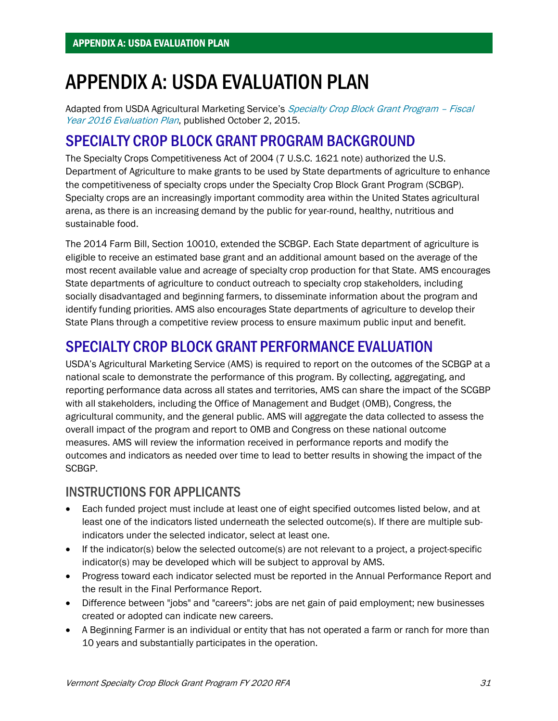<span id="page-30-0"></span>Adapted from USDA Agricultural Marketing Service's [Specialty Crop Block Grant Program](https://www.ams.usda.gov/sites/default/files/media/SCBGP%20FY15%20PerformanceFINAL_10272015.pdf) - Fiscal [Year 2016 Evaluation Plan](https://www.ams.usda.gov/sites/default/files/media/SCBGP%20FY15%20PerformanceFINAL_10272015.pdf), published October 2, 2015.

# SPECIALTY CROP BLOCK GRANT PROGRAM BACKGROUND

The Specialty Crops Competitiveness Act of 2004 (7 U.S.C. 1621 note) authorized the U.S. Department of Agriculture to make grants to be used by State departments of agriculture to enhance the competitiveness of specialty crops under the Specialty Crop Block Grant Program (SCBGP). Specialty crops are an increasingly important commodity area within the United States agricultural arena, as there is an increasing demand by the public for year-round, healthy, nutritious and sustainable food.

The 2014 Farm Bill, Section 10010, extended the SCBGP. Each State department of agriculture is eligible to receive an estimated base grant and an additional amount based on the average of the most recent available value and acreage of specialty crop production for that State. AMS encourages State departments of agriculture to conduct outreach to specialty crop stakeholders, including socially disadvantaged and beginning farmers, to disseminate information about the program and identify funding priorities. AMS also encourages State departments of agriculture to develop their State Plans through a competitive review process to ensure maximum public input and benefit.

# SPECIALTY CROP BLOCK GRANT PERFORMANCE EVALUATION

USDA's Agricultural Marketing Service (AMS) is required to report on the outcomes of the SCBGP at a national scale to demonstrate the performance of this program. By collecting, aggregating, and reporting performance data across all states and territories, AMS can share the impact of the SCGBP with all stakeholders, including the Office of Management and Budget (OMB), Congress, the agricultural community, and the general public. AMS will aggregate the data collected to assess the overall impact of the program and report to OMB and Congress on these national outcome measures. AMS will review the information received in performance reports and modify the outcomes and indicators as needed over time to lead to better results in showing the impact of the SCBGP.

## INSTRUCTIONS FOR APPLICANTS

- Each funded project must include at least one of eight specified outcomes listed below, and at least one of the indicators listed underneath the selected outcome(s). If there are multiple subindicators under the selected indicator, select at least one.
- If the indicator(s) below the selected outcome(s) are not relevant to a project, a project-specific indicator(s) may be developed which will be subject to approval by AMS.
- Progress toward each indicator selected must be reported in the Annual Performance Report and the result in the Final Performance Report.
- Difference between "jobs" and "careers": jobs are net gain of paid employment; new businesses created or adopted can indicate new careers.
- A Beginning Farmer is an individual or entity that has not operated a farm or ranch for more than 10 years and substantially participates in the operation.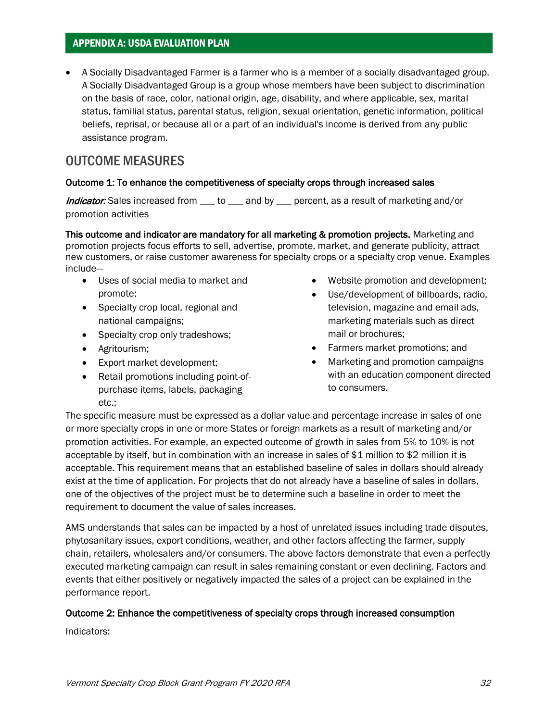• A Socially Disadvantaged Farmer is a farmer who is a member of a socially disadvantaged group. A Socially Disadvantaged Group is a group whose members have been subject to discrimination on the basis of race, color, national origin, age, disability, and where applicable, sex, marital status, familial status, parental status, religion, sexual orientation, genetic information, political beliefs, reprisal, or because all or a part of an individual's income is derived from any public assistance program.

### OUTCOME MEASURES

#### Outcome 1: To enhance the competitiveness of specialty crops through increased sales

Indicator: Sales increased from \_\_\_\_ to \_\_\_\_ and by \_\_\_\_ percent, as a result of marketing and/or promotion activities

This outcome and indicator are mandatory for all marketing & promotion projects. Marketing and promotion projects focus efforts to sell, advertise, promote, market, and generate publicity, attract new customers, or raise customer awareness for specialty crops or a specialty crop venue. Examples include—

- Uses of social media to market and promote;
- Specialty crop local, regional and national campaigns;
- Specialty crop only tradeshows;
- Agritourism;
- Export market development;
- Retail promotions including point-ofpurchase items, labels, packaging etc.;
- Website promotion and development;
- Use/development of billboards, radio, television, magazine and email ads, marketing materials such as direct mail or brochures;
- Farmers market promotions; and
- Marketing and promotion campaigns with an education component directed to consumers.

The specific measure must be expressed as a dollar value and percentage increase in sales of one or more specialty crops in one or more States or foreign markets as a result of marketing and/or promotion activities. For example, an expected outcome of growth in sales from 5% to 10% is not acceptable by itself, but in combination with an increase in sales of \$1 million to \$2 million it is acceptable. This requirement means that an established baseline of sales in dollars should already exist at the time of application. For projects that do not already have a baseline of sales in dollars, one of the objectives of the project must be to determine such a baseline in order to meet the requirement to document the value of sales increases.

AMS understands that sales can be impacted by a host of unrelated issues including trade disputes, phytosanitary issues, export conditions, weather, and other factors affecting the farmer, supply chain, retailers, wholesalers and/or consumers. The above factors demonstrate that even a perfectly executed marketing campaign can result in sales remaining constant or even declining. Factors and events that either positively or negatively impacted the sales of a project can be explained in the performance report.

#### Outcome 2: Enhance the competitiveness of specialty crops through increased consumption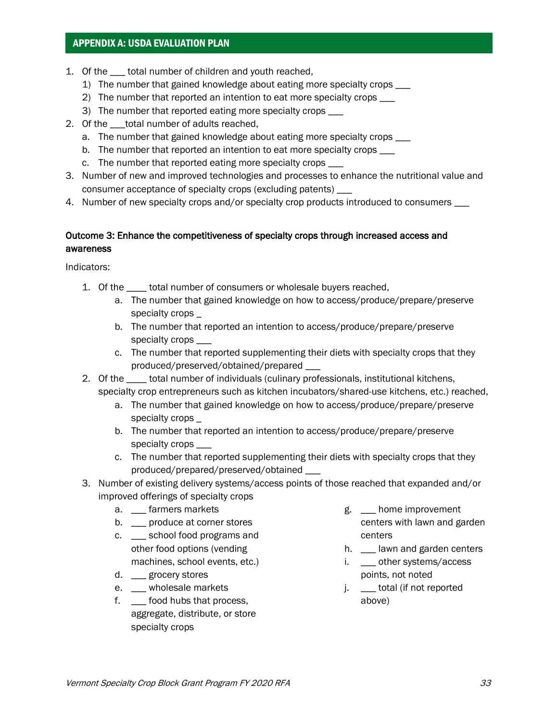- 1. Of the \_\_\_ total number of children and youth reached,
	- 1) The number that gained knowledge about eating more specialty crops \_\_\_
	- 2) The number that reported an intention to eat more specialty crops \_\_\_
	- 3) The number that reported eating more specialty crops
- 2. Of the total number of adults reached,
	- a. The number that gained knowledge about eating more specialty crops
	- b. The number that reported an intention to eat more specialty crops \_\_\_
	- c. The number that reported eating more specialty crops
- 3. Number of new and improved technologies and processes to enhance the nutritional value and consumer acceptance of specialty crops (excluding patents) \_\_\_\_
- 4. Number of new specialty crops and/or specialty crop products introduced to consumers  $\frac{1}{\sqrt{1-\frac{1}{n}}}$

#### Outcome 3: Enhance the competitiveness of specialty crops through increased access and awareness

- 1. Of the \_\_\_\_ total number of consumers or wholesale buyers reached,
	- a. The number that gained knowledge on how to access/produce/prepare/preserve specialty crops \_
	- b. The number that reported an intention to access/produce/prepare/preserve specialty crops
	- c. The number that reported supplementing their diets with specialty crops that they produced/preserved/obtained/prepared \_\_\_
- 2. Of the \_\_\_\_ total number of individuals (culinary professionals, institutional kitchens, specialty crop entrepreneurs such as kitchen incubators/shared-use kitchens, etc.) reached,
	- a. The number that gained knowledge on how to access/produce/prepare/preserve specialty crops \_
	- b. The number that reported an intention to access/produce/prepare/preserve specialty crops \_\_\_\_
	- c. The number that reported supplementing their diets with specialty crops that they produced/prepared/preserved/obtained \_\_\_
- 3. Number of existing delivery systems/access points of those reached that expanded and/or improved offerings of specialty crops
	- a. \_\_ farmers markets
	- b. \_\_ produce at corner stores
	- c. \_\_\_ school food programs and other food options (vending machines, school events, etc.)
	- d. \_\_\_ grocery stores
	- e. \_\_ wholesale markets
	- f. \_\_\_ food hubs that process, aggregate, distribute, or store specialty crops
- g. \_\_\_ home improvement centers with lawn and garden centers
- h. \_\_ lawn and garden centers
- i. other systems/access points, not noted
- j. \_\_\_ total (if not reported above)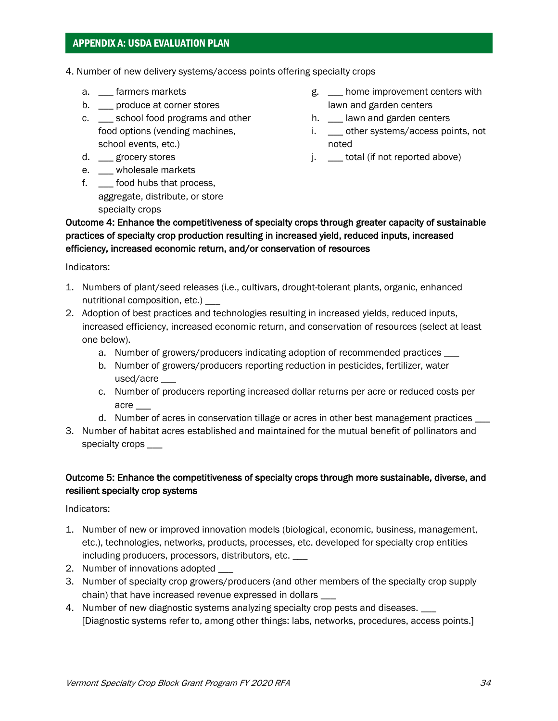4. Number of new delivery systems/access points offering specialty crops

- a. \_\_\_ farmers markets
- b. \_\_ produce at corner stores
- c. \_\_\_ school food programs and other food options (vending machines, school events, etc.)
- d. \_\_\_ grocery stores
- e. \_\_ wholesale markets
- f. \_\_\_ food hubs that process, aggregate, distribute, or store specialty crops
- g. \_\_\_ home improvement centers with lawn and garden centers
- h. \_\_ lawn and garden centers
- i. \_\_\_ other systems/access points, not noted
- j. \_\_\_\_ total (if not reported above)

Outcome 4: Enhance the competitiveness of specialty crops through greater capacity of sustainable practices of specialty crop production resulting in increased yield, reduced inputs, increased efficiency, increased economic return, and/or conservation of resources

#### Indicators:

- 1. Numbers of plant/seed releases (i.e., cultivars, drought-tolerant plants, organic, enhanced nutritional composition, etc.)
- 2. Adoption of best practices and technologies resulting in increased yields, reduced inputs, increased efficiency, increased economic return, and conservation of resources (select at least one below).
	- a. Number of growers/producers indicating adoption of recommended practices
	- b. Number of growers/producers reporting reduction in pesticides, fertilizer, water used/acre \_\_\_
	- c. Number of producers reporting increased dollar returns per acre or reduced costs per acre \_\_\_
	- d. Number of acres in conservation tillage or acres in other best management practices \_\_\_
- 3. Number of habitat acres established and maintained for the mutual benefit of pollinators and specialty crops \_\_\_\_

#### Outcome 5: Enhance the competitiveness of specialty crops through more sustainable, diverse, and resilient specialty crop systems

- 1. Number of new or improved innovation models (biological, economic, business, management, etc.), technologies, networks, products, processes, etc. developed for specialty crop entities including producers, processors, distributors, etc. \_\_\_
- 2. Number of innovations adopted \_\_\_
- 3. Number of specialty crop growers/producers (and other members of the specialty crop supply chain) that have increased revenue expressed in dollars
- 4. Number of new diagnostic systems analyzing specialty crop pests and diseases. \_\_\_ [Diagnostic systems refer to, among other things: labs, networks, procedures, access points.]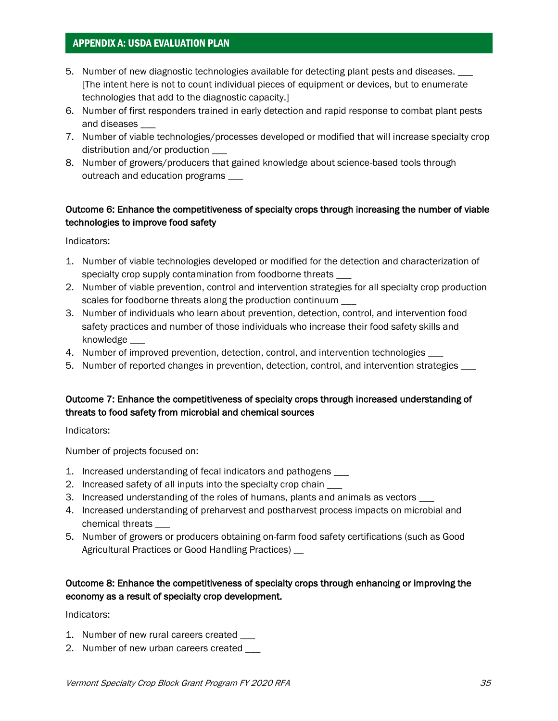- 5. Number of new diagnostic technologies available for detecting plant pests and diseases. \_\_\_ [The intent here is not to count individual pieces of equipment or devices, but to enumerate technologies that add to the diagnostic capacity.]
- 6. Number of first responders trained in early detection and rapid response to combat plant pests and diseases \_\_\_
- 7. Number of viable technologies/processes developed or modified that will increase specialty crop distribution and/or production
- 8. Number of growers/producers that gained knowledge about science-based tools through outreach and education programs \_\_\_

#### Outcome 6: Enhance the competitiveness of specialty crops through increasing the number of viable technologies to improve food safety

Indicators:

- 1. Number of viable technologies developed or modified for the detection and characterization of specialty crop supply contamination from foodborne threats \_\_\_\_
- 2. Number of viable prevention, control and intervention strategies for all specialty crop production scales for foodborne threats along the production continuum
- 3. Number of individuals who learn about prevention, detection, control, and intervention food safety practices and number of those individuals who increase their food safety skills and knowledge
- 4. Number of improved prevention, detection, control, and intervention technologies \_\_\_
- 5. Number of reported changes in prevention, detection, control, and intervention strategies \_\_\_\_

#### Outcome 7: Enhance the competitiveness of specialty crops through increased understanding of threats to food safety from microbial and chemical sources

Indicators:

Number of projects focused on:

- 1. Increased understanding of fecal indicators and pathogens \_\_\_
- 2. Increased safety of all inputs into the specialty crop chain
- 3. Increased understanding of the roles of humans, plants and animals as vectors \_\_\_
- 4. Increased understanding of preharvest and postharvest process impacts on microbial and chemical threats \_\_\_
- 5. Number of growers or producers obtaining on-farm food safety certifications (such as Good Agricultural Practices or Good Handling Practices) \_\_

#### Outcome 8: Enhance the competitiveness of specialty crops through enhancing or improving the economy as a result of specialty crop development.

- 1. Number of new rural careers created \_\_\_
- 2. Number of new urban careers created \_\_\_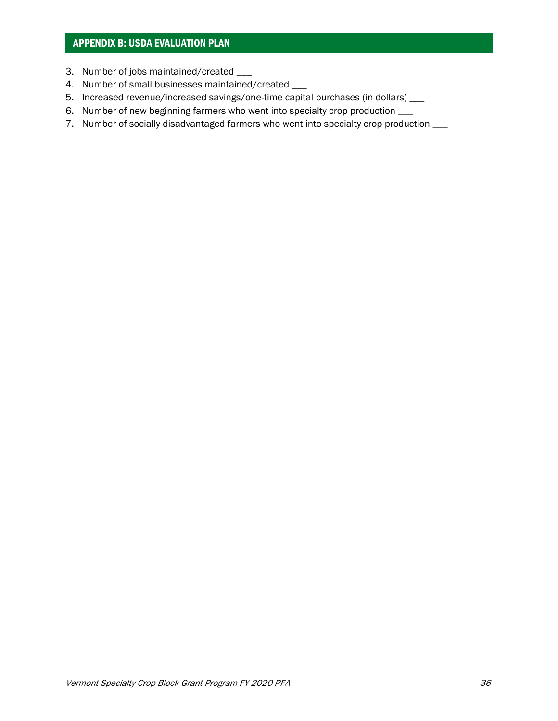- 3. Number of jobs maintained/created \_\_\_
- 4. Number of small businesses maintained/created \_\_\_
- 5. Increased revenue/increased savings/one-time capital purchases (in dollars) \_\_\_
- 6. Number of new beginning farmers who went into specialty crop production \_\_\_
- 7. Number of socially disadvantaged farmers who went into specialty crop production  $\_\_$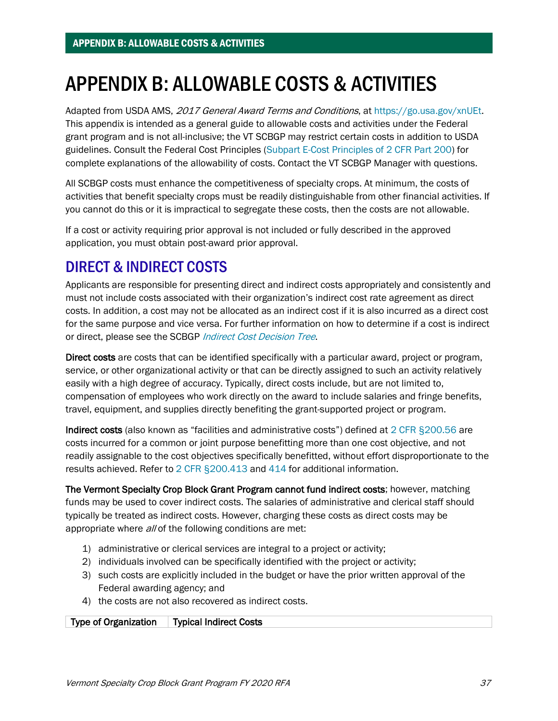<span id="page-36-0"></span>Adapted from USDA AMS, 2017 General Award Terms and Conditions, at [https://go.usa.gov/xnUEt.](https://go.usa.gov/xnUEt) This appendix is intended as a general guide to allowable costs and activities under the Federal grant program and is not all-inclusive; the VT SCBGP may restrict certain costs in addition to USDA guidelines. Consult the Federal Cost Principles [\(Subpart E-Cost Principles of 2 CFR Part 200\)](https://www.ecfr.gov/cgi-bin/text-idx?node=2%3A1.1.2.2.1&rgn=div5&sp2.1.200.e) for complete explanations of the allowability of costs. Contact the VT SCBGP Manager with questions.

All SCBGP costs must enhance the competitiveness of specialty crops. At minimum, the costs of activities that benefit specialty crops must be readily distinguishable from other financial activities. If you cannot do this or it is impractical to segregate these costs, then the costs are not allowable.

If a cost or activity requiring prior approval is not included or fully described in the approved application, you must obtain post-award prior approval.

# DIRECT & INDIRECT COSTS

Applicants are responsible for presenting direct and indirect costs appropriately and consistently and must not include costs associated with their organization's indirect cost rate agreement as direct costs. In addition, a cost may not be allocated as an indirect cost if it is also incurred as a direct cost for the same purpose and vice versa. For further information on how to determine if a cost is indirect or direct, please see the SCBGP [Indirect Cost Decision Tree](https://www.ams.usda.gov/sites/default/files/media/SCBGP%20IndirectCosts.pdf).

Direct costs are costs that can be identified specifically with a particular award, project or program, service, or other organizational activity or that can be directly assigned to such an activity relatively easily with a high degree of accuracy. Typically, direct costs include, but are not limited to, compensation of employees who work directly on the award to include salaries and fringe benefits, travel, equipment, and supplies directly benefiting the grant-supported project or program.

Indirect costs (also known as "facilities and administrative costs") defined at [2 CFR §200.56](https://www.ecfr.gov/cgi-bin/text-idx?node=2%3A1.1.2.2.1&rgn=div5&se2.1.200_156) are costs incurred for a common or joint purpose benefitting more than one cost objective, and not readily assignable to the cost objectives specifically benefitted, without effort disproportionate to the results achieved. Refer to [2 CFR §200.413](https://www.ecfr.gov/cgi-bin/text-idx?node=2%3A1.1.2.2.1&rgn=div5&se2.1.200_1413) and [414](https://www.ecfr.gov/cgi-bin/text-idx?node=2%3A1.1.2.2.1&rgn=div5&se2.1.200_1414) for additional information.

The Vermont Specialty Crop Block Grant Program cannot fund indirect costs; however, matching funds may be used to cover indirect costs. The salaries of administrative and clerical staff should typically be treated as indirect costs. However, charging these costs as direct costs may be appropriate where *all* of the following conditions are met:

- 1) administrative or clerical services are integral to a project or activity;
- 2) individuals involved can be specifically identified with the project or activity;
- 3) such costs are explicitly included in the budget or have the prior written approval of the Federal awarding agency; and
- 4) the costs are not also recovered as indirect costs.

Type of Organization | Typical Indirect Costs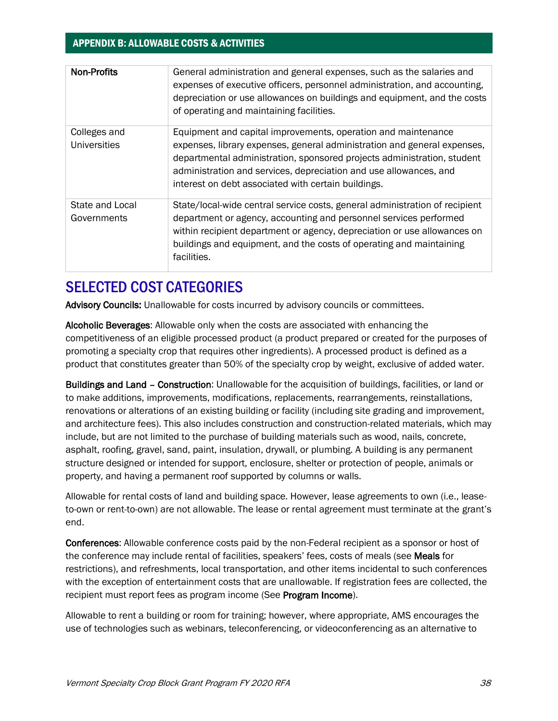| <b>Non-Profits</b>                  | General administration and general expenses, such as the salaries and<br>expenses of executive officers, personnel administration, and accounting,<br>depreciation or use allowances on buildings and equipment, and the costs<br>of operating and maintaining facilities.                                                                       |
|-------------------------------------|--------------------------------------------------------------------------------------------------------------------------------------------------------------------------------------------------------------------------------------------------------------------------------------------------------------------------------------------------|
| Colleges and<br><b>Universities</b> | Equipment and capital improvements, operation and maintenance<br>expenses, library expenses, general administration and general expenses,<br>departmental administration, sponsored projects administration, student<br>administration and services, depreciation and use allowances, and<br>interest on debt associated with certain buildings. |
| State and Local<br>Governments      | State/local-wide central service costs, general administration of recipient<br>department or agency, accounting and personnel services performed<br>within recipient department or agency, depreciation or use allowances on<br>buildings and equipment, and the costs of operating and maintaining<br>facilities.                               |

# SELECTED COST CATEGORIES

Advisory Councils: Unallowable for costs incurred by advisory councils or committees.

Alcoholic Beverages: Allowable only when the costs are associated with enhancing the competitiveness of an eligible processed product (a product prepared or created for the purposes of promoting a specialty crop that requires other ingredients). A processed product is defined as a product that constitutes greater than 50% of the specialty crop by weight, exclusive of added water.

Buildings and Land – Construction: Unallowable for the acquisition of buildings, facilities, or land or to make additions, improvements, modifications, replacements, rearrangements, reinstallations, renovations or alterations of an existing building or facility (including site grading and improvement, and architecture fees). This also includes construction and construction-related materials, which may include, but are not limited to the purchase of building materials such as wood, nails, concrete, asphalt, roofing, gravel, sand, paint, insulation, drywall, or plumbing. A building is any permanent structure designed or intended for support, enclosure, shelter or protection of people, animals or property, and having a permanent roof supported by columns or walls.

Allowable for rental costs of land and building space. However, lease agreements to own (i.e., leaseto-own or rent-to-own) are not allowable. The lease or rental agreement must terminate at the grant's end.

Conferences: Allowable conference costs paid by the non-Federal recipient as a sponsor or host of the conference may include rental of facilities, speakers' fees, costs of meals (see Meals for restrictions), and refreshments, local transportation, and other items incidental to such conferences with the exception of entertainment costs that are unallowable. If registration fees are collected, the recipient must report fees as program income (See Program Income).

Allowable to rent a building or room for training; however, where appropriate, AMS encourages the use of technologies such as webinars, teleconferencing, or videoconferencing as an alternative to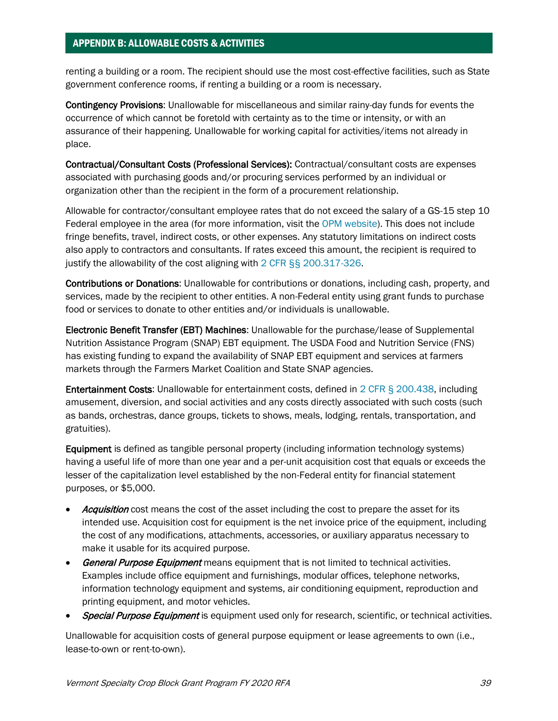renting a building or a room. The recipient should use the most cost-effective facilities, such as State government conference rooms, if renting a building or a room is necessary.

Contingency Provisions: Unallowable for miscellaneous and similar rainy-day funds for events the occurrence of which cannot be foretold with certainty as to the time or intensity, or with an assurance of their happening. Unallowable for working capital for activities/items not already in place.

Contractual/Consultant Costs (Professional Services): Contractual/consultant costs are expenses associated with purchasing goods and/or procuring services performed by an individual or organization other than the recipient in the form of a procurement relationship.

Allowable for contractor/consultant employee rates that do not exceed the salary of a GS-15 step 10 Federal employee in the area (for more information, visit the [OPM website\)](https://www.opm.gov/policy-data-oversight/pay-leave/salaries-wages/). This does not include fringe benefits, travel, indirect costs, or other expenses. Any statutory limitations on indirect costs also apply to contractors and consultants. If rates exceed this amount, the recipient is required to justify the allowability of the cost aligning with [2 CFR §§ 200.317-326.](https://www.ecfr.gov/cgi-bin/retrieveECFR?gp=&SID=988467ba214fbb07298599affd94f30a&n=pt2.1.200&r=PART&ty=HTML#sg2.1.200_1316.sg3)

Contributions or Donations: Unallowable for contributions or donations, including cash, property, and services, made by the recipient to other entities. A non-Federal entity using grant funds to purchase food or services to donate to other entities and/or individuals is unallowable.

Electronic Benefit Transfer (EBT) Machines: Unallowable for the purchase/lease of Supplemental Nutrition Assistance Program (SNAP) EBT equipment. The USDA Food and Nutrition Service (FNS) has existing funding to expand the availability of SNAP EBT equipment and services at farmers markets through the Farmers Market Coalition and State SNAP agencies.

Entertainment Costs: Unallowable for entertainment costs, defined in [2 CFR § 200.438,](https://www.ecfr.gov/cgi-bin/text-idx?node=2:1.1.2.2.1&rgn=div5#se2.1.200_1438) including amusement, diversion, and social activities and any costs directly associated with such costs (such as bands, orchestras, dance groups, tickets to shows, meals, lodging, rentals, transportation, and gratuities).

Equipment is defined as tangible personal property (including information technology systems) having a useful life of more than one year and a per-unit acquisition cost that equals or exceeds the lesser of the capitalization level established by the non-Federal entity for financial statement purposes, or \$5,000.

- **Acquisition** cost means the cost of the asset including the cost to prepare the asset for its intended use. Acquisition cost for equipment is the net invoice price of the equipment, including the cost of any modifications, attachments, accessories, or auxiliary apparatus necessary to make it usable for its acquired purpose.
- General Purpose Equipment means equipment that is not limited to technical activities. Examples include office equipment and furnishings, modular offices, telephone networks, information technology equipment and systems, air conditioning equipment, reproduction and printing equipment, and motor vehicles.
- **Special Purpose Equipment** is equipment used only for research, scientific, or technical activities.

Unallowable for acquisition costs of general purpose equipment or lease agreements to own (i.e., lease-to-own or rent-to-own).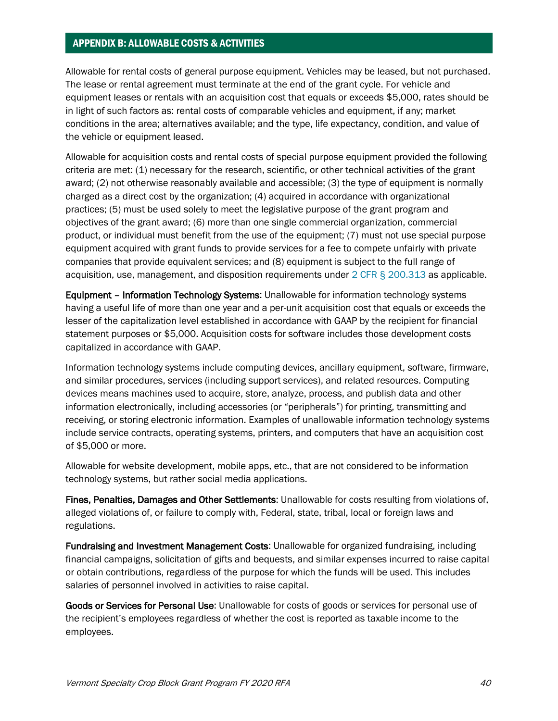Allowable for rental costs of general purpose equipment. Vehicles may be leased, but not purchased. The lease or rental agreement must terminate at the end of the grant cycle. For vehicle and equipment leases or rentals with an acquisition cost that equals or exceeds \$5,000, rates should be in light of such factors as: rental costs of comparable vehicles and equipment, if any; market conditions in the area; alternatives available; and the type, life expectancy, condition, and value of the vehicle or equipment leased.

Allowable for acquisition costs and rental costs of special purpose equipment provided the following criteria are met: (1) necessary for the research, scientific, or other technical activities of the grant award; (2) not otherwise reasonably available and accessible; (3) the type of equipment is normally charged as a direct cost by the organization; (4) acquired in accordance with organizational practices; (5) must be used solely to meet the legislative purpose of the grant program and objectives of the grant award; (6) more than one single commercial organization, commercial product, or individual must benefit from the use of the equipment; (7) must not use special purpose equipment acquired with grant funds to provide services for a fee to compete unfairly with private companies that provide equivalent services; and (8) equipment is subject to the full range of acquisition, use, management, and disposition requirements under [2 CFR § 200.313](https://www.ecfr.gov/cgi-bin/retrieveECFR?gp=&SID=27767ced17852a0f709e351009375919&n=pt2.1.200&r=PART&ty=HTML#se2.1.200_1313) as applicable.

Equipment – Information Technology Systems: Unallowable for information technology systems having a useful life of more than one year and a per-unit acquisition cost that equals or exceeds the lesser of the capitalization level established in accordance with GAAP by the recipient for financial statement purposes or \$5,000. Acquisition costs for software includes those development costs capitalized in accordance with GAAP.

Information technology systems include computing devices, ancillary equipment, software, firmware, and similar procedures, services (including support services), and related resources. Computing devices means machines used to acquire, store, analyze, process, and publish data and other information electronically, including accessories (or "peripherals") for printing, transmitting and receiving, or storing electronic information. Examples of unallowable information technology systems include service contracts, operating systems, printers, and computers that have an acquisition cost of \$5,000 or more.

Allowable for website development, mobile apps, etc., that are not considered to be information technology systems, but rather social media applications.

Fines, Penalties, Damages and Other Settlements: Unallowable for costs resulting from violations of, alleged violations of, or failure to comply with, Federal, state, tribal, local or foreign laws and regulations.

Fundraising and Investment Management Costs: Unallowable for organized fundraising, including financial campaigns, solicitation of gifts and bequests, and similar expenses incurred to raise capital or obtain contributions, regardless of the purpose for which the funds will be used. This includes salaries of personnel involved in activities to raise capital.

Goods or Services for Personal Use: Unallowable for costs of goods or services for personal use of the recipient's employees regardless of whether the cost is reported as taxable income to the employees.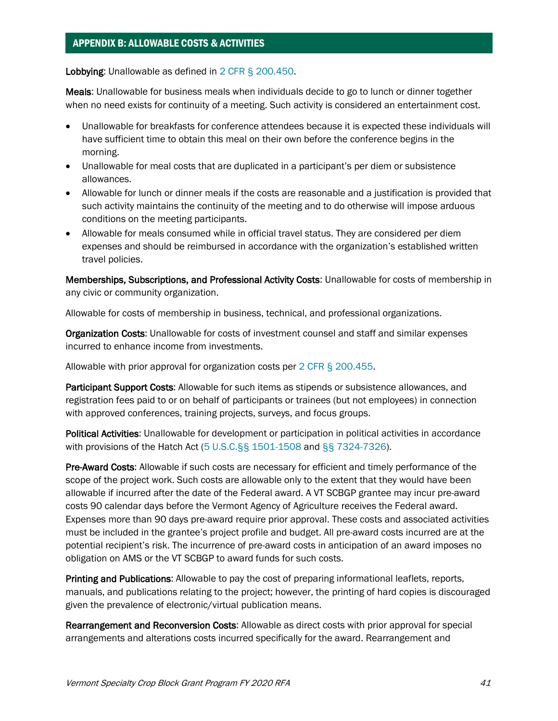Lobbying: Unallowable as defined in [2 CFR § 200.450.](https://www.ecfr.gov/cgi-bin/text-idx?SID=1eb223610ea5e852c8df8a0af34c78f8&mc=true&node=se2.1.200_1450&rgn=div8)

Meals: Unallowable for business meals when individuals decide to go to lunch or dinner together when no need exists for continuity of a meeting. Such activity is considered an entertainment cost.

- Unallowable for breakfasts for conference attendees because it is expected these individuals will have sufficient time to obtain this meal on their own before the conference begins in the morning.
- Unallowable for meal costs that are duplicated in a participant's per diem or subsistence allowances.
- Allowable for lunch or dinner meals if the costs are reasonable and a justification is provided that such activity maintains the continuity of the meeting and to do otherwise will impose arduous conditions on the meeting participants.
- Allowable for meals consumed while in official travel status. They are considered per diem expenses and should be reimbursed in accordance with the organization's established written travel policies.

Memberships, Subscriptions, and Professional Activity Costs: Unallowable for costs of membership in any civic or community organization.

Allowable for costs of membership in business, technical, and professional organizations.

Organization Costs: Unallowable for costs of investment counsel and staff and similar expenses incurred to enhance income from investments.

Allowable with prior approval for organization costs per [2 CFR § 200.455.](https://www.ecfr.gov/cgi-bin/retrieveECFR?gp=&SID=988467ba214fbb07298599affd94f30a&n=pt2.1.200&r=PART&ty=HTML#se2.1.200_1455)

Participant Support Costs: Allowable for such items as stipends or subsistence allowances, and registration fees paid to or on behalf of participants or trainees (but not employees) in connection with approved conferences, training projects, surveys, and focus groups.

Political Activities: Unallowable for development or participation in political activities in accordance with provisions of the Hatch Act [\(5 U.S.C.§§ 1501-1508](http://uscode.house.gov/view.xhtml?req=granuleid%3AUSC-prelim-title5-chapter15&saved=%7CKHRpdGxlOjUgc2VjdGlvbjoxNTAxIGVkaXRpb246cHJlbGltKSBPUiAoZ3JhbnVsZWlkOlVTQy1wcmVsaW0tdGl0bGU1LXNlY3Rpb24xNTAxKQ%3D%3D%7CdHJlZXNvcnQ%3D%7C%7C0%7Cfalse%7Cprelim&edition=prelim) an[d §§ 7324-7326\)](http://uscode.house.gov/view.xhtml?req=granuleid%3AUSC-prelim-title5-chapter73-subchapter3&saved=%7CKHRpdGxlOjUgc2VjdGlvbjo3MzI0IGVkaXRpb246cHJlbGltKSBPUiAoZ3JhbnVsZWlkOlVTQy1wcmVsaW0tdGl0bGU1LXNlY3Rpb243MzI0KQ%3D%3D%7CdHJlZXNvcnQ%3D%7C%7C0%7Cfalse%7Cprelim&edition=prelim).

Pre-Award Costs: Allowable if such costs are necessary for efficient and timely performance of the scope of the project work. Such costs are allowable only to the extent that they would have been allowable if incurred after the date of the Federal award. A VT SCBGP grantee may incur pre-award costs 90 calendar days before the Vermont Agency of Agriculture receives the Federal award. Expenses more than 90 days pre-award require prior approval. These costs and associated activities must be included in the grantee's project profile and budget. All pre-award costs incurred are at the potential recipient's risk. The incurrence of pre-award costs in anticipation of an award imposes no obligation on AMS or the VT SCBGP to award funds for such costs.

Printing and Publications: Allowable to pay the cost of preparing informational leaflets, reports, manuals, and publications relating to the project; however, the printing of hard copies is discouraged given the prevalence of electronic/virtual publication means.

Rearrangement and Reconversion Costs: Allowable as direct costs with prior approval for special arrangements and alterations costs incurred specifically for the award. Rearrangement and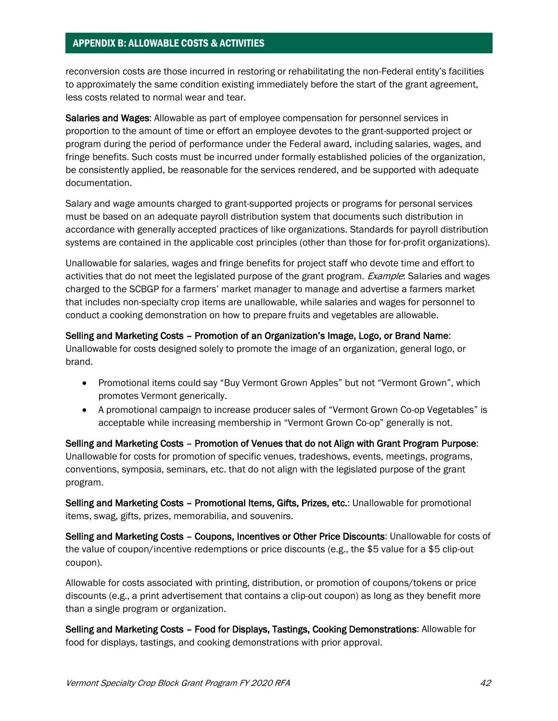reconversion costs are those incurred in restoring or rehabilitating the non-Federal entity's facilities to approximately the same condition existing immediately before the start of the grant agreement, less costs related to normal wear and tear.

Salaries and Wages: Allowable as part of employee compensation for personnel services in proportion to the amount of time or effort an employee devotes to the grant-supported project or program during the period of performance under the Federal award, including salaries, wages, and fringe benefits. Such costs must be incurred under formally established policies of the organization, be consistently applied, be reasonable for the services rendered, and be supported with adequate documentation.

Salary and wage amounts charged to grant-supported projects or programs for personal services must be based on an adequate payroll distribution system that documents such distribution in accordance with generally accepted practices of like organizations. Standards for payroll distribution systems are contained in the applicable cost principles (other than those for for-profit organizations).

Unallowable for salaries, wages and fringe benefits for project staff who devote time and effort to activities that do not meet the legislated purpose of the grant program. *Example*: Salaries and wages charged to the SCBGP for a farmers' market manager to manage and advertise a farmers market that includes non-specialty crop items are unallowable, while salaries and wages for personnel to conduct a cooking demonstration on how to prepare fruits and vegetables are allowable.

Selling and Marketing Costs – Promotion of an Organization's Image, Logo, or Brand Name:

Unallowable for costs designed solely to promote the image of an organization, general logo, or brand.

- Promotional items could say "Buy Vermont Grown Apples" but not "Vermont Grown", which promotes Vermont generically.
- A promotional campaign to increase producer sales of "Vermont Grown Co-op Vegetables" is acceptable while increasing membership in "Vermont Grown Co-op" generally is not.

Selling and Marketing Costs – Promotion of Venues that do not Align with Grant Program Purpose: Unallowable for costs for promotion of specific venues, tradeshows, events, meetings, programs, conventions, symposia, seminars, etc. that do not align with the legislated purpose of the grant program.

Selling and Marketing Costs - Promotional Items, Gifts, Prizes, etc.: Unallowable for promotional items, swag, gifts, prizes, memorabilia, and souvenirs.

Selling and Marketing Costs – Coupons, Incentives or Other Price Discounts: Unallowable for costs of the value of coupon/incentive redemptions or price discounts (e.g., the \$5 value for a \$5 clip-out coupon).

Allowable for costs associated with printing, distribution, or promotion of coupons/tokens or price discounts (e.g., a print advertisement that contains a clip-out coupon) as long as they benefit more than a single program or organization.

Selling and Marketing Costs – Food for Displays, Tastings, Cooking Demonstrations: Allowable for food for displays, tastings, and cooking demonstrations with prior approval.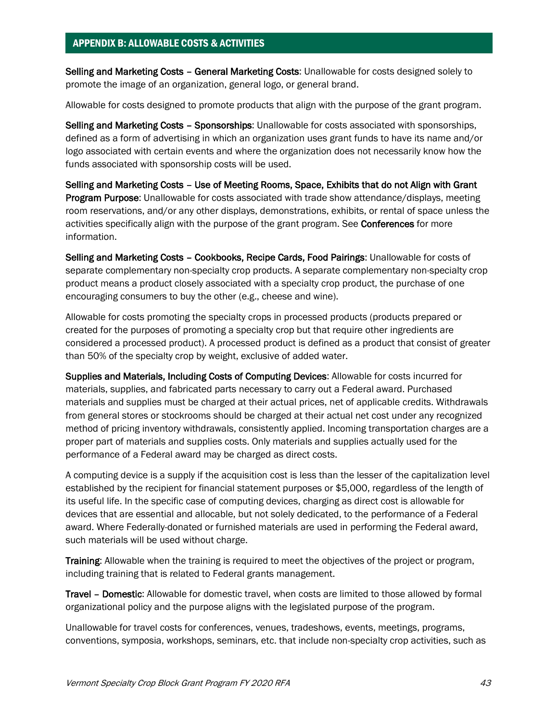Selling and Marketing Costs – General Marketing Costs: Unallowable for costs designed solely to promote the image of an organization, general logo, or general brand.

Allowable for costs designed to promote products that align with the purpose of the grant program.

Selling and Marketing Costs - Sponsorships: Unallowable for costs associated with sponsorships, defined as a form of advertising in which an organization uses grant funds to have its name and/or logo associated with certain events and where the organization does not necessarily know how the funds associated with sponsorship costs will be used.

Selling and Marketing Costs – Use of Meeting Rooms, Space, Exhibits that do not Align with Grant Program Purpose: Unallowable for costs associated with trade show attendance/displays, meeting room reservations, and/or any other displays, demonstrations, exhibits, or rental of space unless the activities specifically align with the purpose of the grant program. See **Conferences** for more information.

Selling and Marketing Costs – Cookbooks, Recipe Cards, Food Pairings: Unallowable for costs of separate complementary non-specialty crop products. A separate complementary non-specialty crop product means a product closely associated with a specialty crop product, the purchase of one encouraging consumers to buy the other (e.g., cheese and wine).

Allowable for costs promoting the specialty crops in processed products (products prepared or created for the purposes of promoting a specialty crop but that require other ingredients are considered a processed product). A processed product is defined as a product that consist of greater than 50% of the specialty crop by weight, exclusive of added water.

Supplies and Materials, Including Costs of Computing Devices: Allowable for costs incurred for materials, supplies, and fabricated parts necessary to carry out a Federal award. Purchased materials and supplies must be charged at their actual prices, net of applicable credits. Withdrawals from general stores or stockrooms should be charged at their actual net cost under any recognized method of pricing inventory withdrawals, consistently applied. Incoming transportation charges are a proper part of materials and supplies costs. Only materials and supplies actually used for the performance of a Federal award may be charged as direct costs.

A computing device is a supply if the acquisition cost is less than the lesser of the capitalization level established by the recipient for financial statement purposes or \$5,000, regardless of the length of its useful life. In the specific case of computing devices, charging as direct cost is allowable for devices that are essential and allocable, but not solely dedicated, to the performance of a Federal award. Where Federally-donated or furnished materials are used in performing the Federal award, such materials will be used without charge.

Training: Allowable when the training is required to meet the objectives of the project or program, including training that is related to Federal grants management.

Travel – Domestic: Allowable for domestic travel, when costs are limited to those allowed by formal organizational policy and the purpose aligns with the legislated purpose of the program.

Unallowable for travel costs for conferences, venues, tradeshows, events, meetings, programs, conventions, symposia, workshops, seminars, etc. that include non-specialty crop activities, such as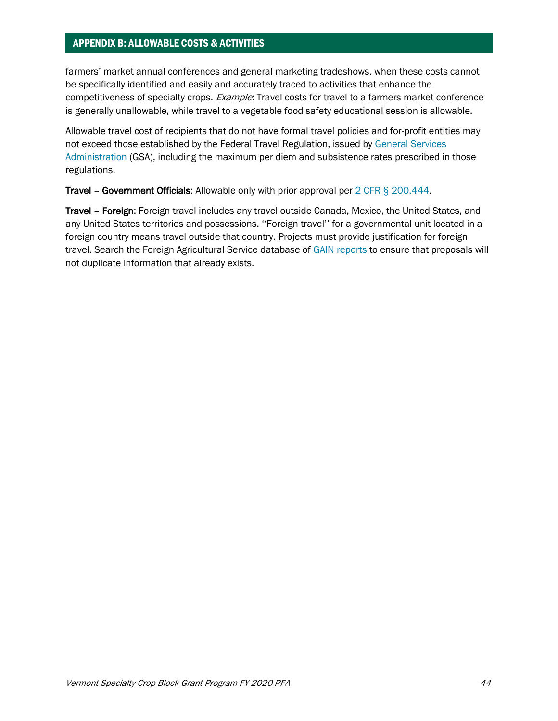farmers' market annual conferences and general marketing tradeshows, when these costs cannot be specifically identified and easily and accurately traced to activities that enhance the competitiveness of specialty crops. *Example*: Travel costs for travel to a farmers market conference is generally unallowable, while travel to a vegetable food safety educational session is allowable.

Allowable travel cost of recipients that do not have formal travel policies and for-profit entities may not exceed those established by the Federal Travel Regulation, issued by [General Services](https://www.gsa.gov/)  [Administration](https://www.gsa.gov/) (GSA), including the maximum per diem and subsistence rates prescribed in those regulations.

Travel – Government Officials: Allowable only with prior approval per 2 CFR [§ 200.444.](https://www.ecfr.gov/cgi-bin/retrieveECFR?gp=&SID=988467ba214fbb07298599affd94f30a&n=pt2.1.200&r=PART&ty=HTML#se2.1.200_1444)

**Travel – Foreign:** Foreign travel includes any travel outside Canada, Mexico, the United States, and any United States territories and possessions. ''Foreign travel'' for a governmental unit located in a foreign country means travel outside that country. Projects must provide justification for foreign travel. Search the Foreign Agricultural Service database o[f GAIN reports](http://gain.fas.usda.gov/Pages/Default.aspx) to ensure that proposals will not duplicate information that already exists.